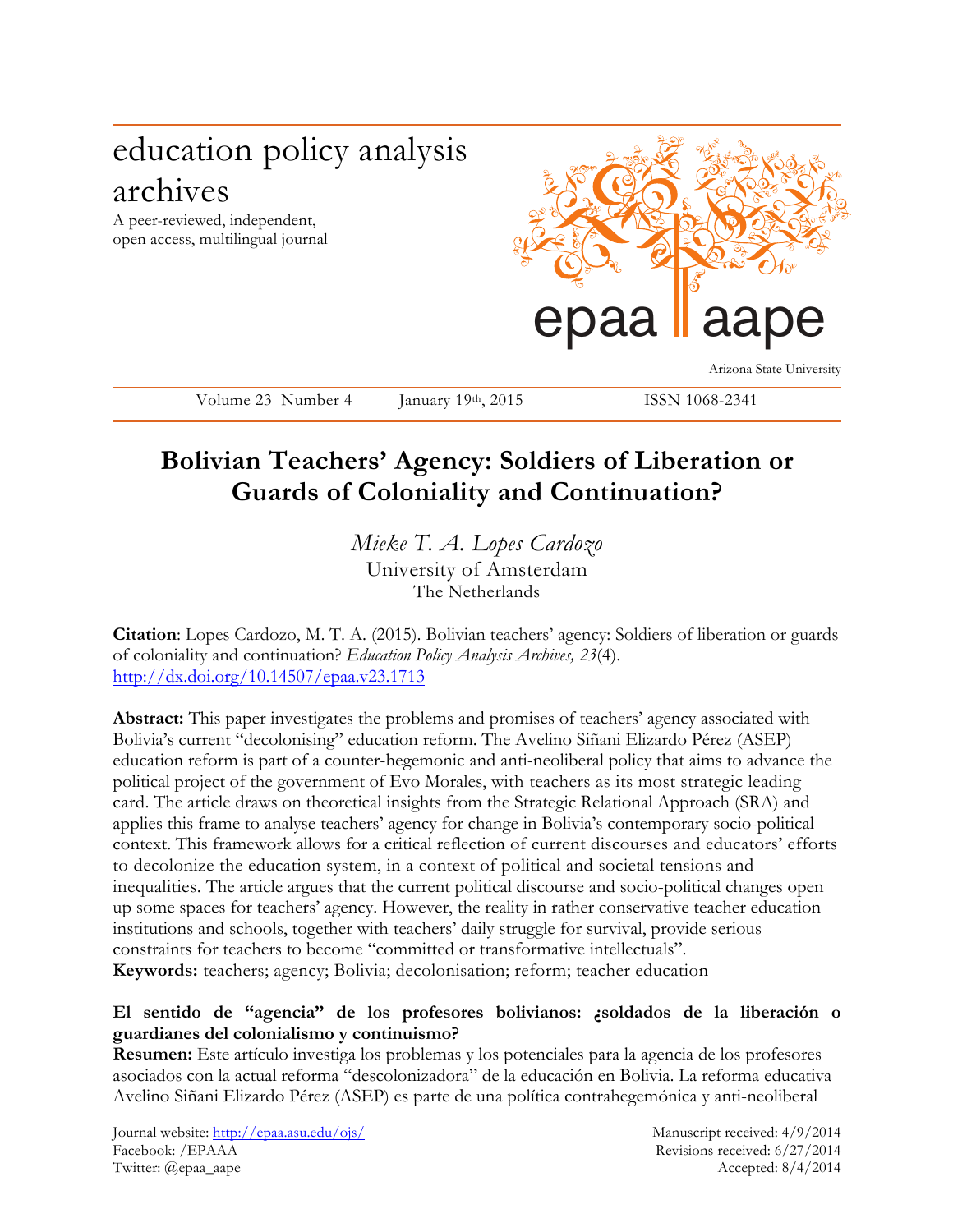# education policy analysis archives

A peer-reviewed, independent, open access, multilingual journal



Volume 23 Number 4 January 19th, 2015 ISSN 1068-2341

Arizona State University

## **Bolivian Teachers' Agency: Soldiers of Liberation or Guards of Coloniality and Continuation?**

*Mieke T. A. Lopes Cardozo* University of Amsterdam The Netherlands

**Citation**: Lopes Cardozo, M. T. A. (2015). Bolivian teachers' agency: Soldiers of liberation or guards of coloniality and continuation? *Education Policy Analysis Archives, 23*(4). http://dx.doi.org/10.14507/epaa.v23.1713

**Abstract:** This paper investigates the problems and promises of teachers' agency associated with Bolivia's current "decolonising" education reform. The Avelino Siñani Elizardo Pérez (ASEP) education reform is part of a counter-hegemonic and anti-neoliberal policy that aims to advance the political project of the government of Evo Morales, with teachers as its most strategic leading card. The article draws on theoretical insights from the Strategic Relational Approach (SRA) and applies this frame to analyse teachers' agency for change in Bolivia's contemporary socio-political context. This framework allows for a critical reflection of current discourses and educators' efforts to decolonize the education system, in a context of political and societal tensions and inequalities. The article argues that the current political discourse and socio-political changes open up some spaces for teachers' agency. However, the reality in rather conservative teacher education institutions and schools, together with teachers' daily struggle for survival, provide serious constraints for teachers to become "committed or transformative intellectuals". **Keywords:** teachers; agency; Bolivia; decolonisation; reform; teacher education

## **El sentido de "agencia" de los profesores bolivianos: ¿soldados de la liberación o guardianes del colonialismo y continuismo?**

**Resumen:** Este artículo investiga los problemas y los potenciales para la agencia de los profesores asociados con la actual reforma "descolonizadora" de la educación en Bolivia. La reforma educativa Avelino Siñani Elizardo Pérez (ASEP) es parte de una política contrahegemónica y anti-neoliberal

Journal website: http://epaa.asu.edu/ojs/ Manuscript received: 4/9/2014 Facebook: /EPAAA Revisions received: 6/27/2014 Twitter: @epaa\_aape Accepted: 8/4/2014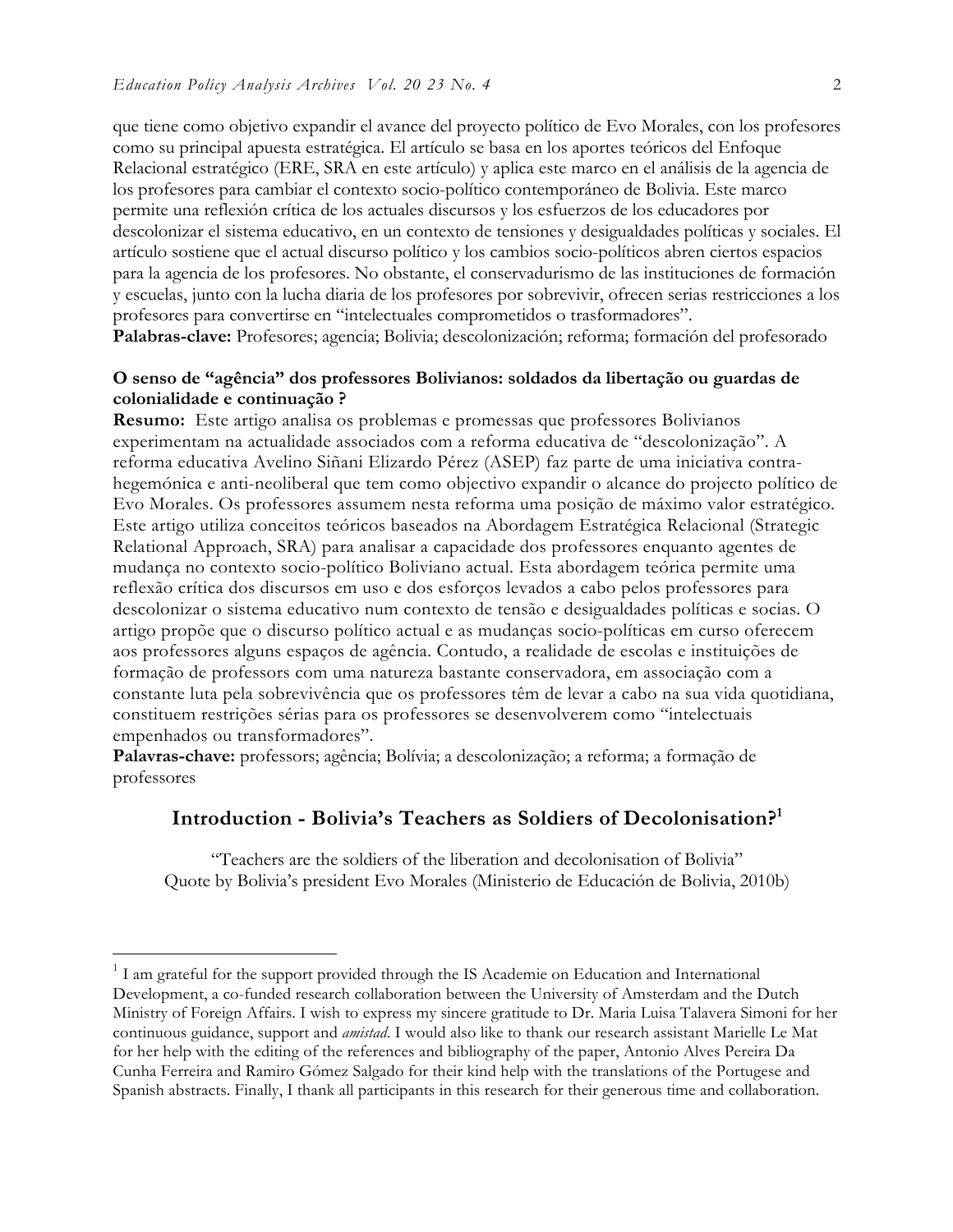que tiene como objetivo expandir el avance del proyecto político de Evo Morales, con los profesores como su principal apuesta estratégica. El artículo se basa en los aportes teóricos del Enfoque Relacional estratégico (ERE, SRA en este artículo) y aplica este marco en el análisis de la agencia de los profesores para cambiar el contexto socio-político contemporáneo de Bolivia. Este marco permite una reflexión crítica de los actuales discursos y los esfuerzos de los educadores por descolonizar el sistema educativo, en un contexto de tensiones y desigualdades políticas y sociales. El artículo sostiene que el actual discurso político y los cambios socio-políticos abren ciertos espacios para la agencia de los profesores. No obstante, el conservadurismo de las instituciones de formación y escuelas, junto con la lucha diaria de los profesores por sobrevivir, ofrecen serias restricciones a los profesores para convertirse en "intelectuales comprometidos o trasformadores". **Palabras-clave:** Profesores; agencia; Bolivia; descolonización; reforma; formación del profesorado

#### **O senso de "agência" dos professores Bolivianos: soldados da libertação ou guardas de colonialidade e continuação ?**

**Resumo:** Este artigo analisa os problemas e promessas que professores Bolivianos experimentam na actualidade associados com a reforma educativa de "descolonização". A reforma educativa Avelino Siñani Elizardo Pérez (ASEP) faz parte de uma iniciativa contrahegemónica e anti-neoliberal que tem como objectivo expandir o alcance do projecto político de Evo Morales. Os professores assumem nesta reforma uma posição de máximo valor estratégico. Este artigo utiliza conceitos teóricos baseados na Abordagem Estratégica Relacional (Strategic Relational Approach, SRA) para analisar a capacidade dos professores enquanto agentes de mudança no contexto socio-político Boliviano actual. Esta abordagem teórica permite uma reflexão crítica dos discursos em uso e dos esforços levados a cabo pelos professores para descolonizar o sistema educativo num contexto de tensão e desigualdades políticas e socias. O artigo propõe que o discurso político actual e as mudanças socio-políticas em curso oferecem aos professores alguns espaços de agência. Contudo, a realidade de escolas e instituições de formação de professors com uma natureza bastante conservadora, em associação com a constante luta pela sobrevivência que os professores têm de levar a cabo na sua vida quotidiana, constituem restrições sérias para os professores se desenvolverem como "intelectuais empenhados ou transformadores".

**Palavras-chave:** professors; agência; Bolívia; a descolonização; a reforma; a formação de professores

## **Introduction - Bolivia's Teachers as Soldiers of Decolonisation?1**

"Teachers are the soldiers of the liberation and decolonisation of Bolivia" Quote by Bolivia's president Evo Morales (Ministerio de Educación de Bolivia, 2010b)

 $1$  I am grateful for the support provided through the IS Academie on Education and International Development, a co-funded research collaboration between the University of Amsterdam and the Dutch Ministry of Foreign Affairs. I wish to express my sincere gratitude to Dr. Maria Luisa Talavera Simoni for her continuous guidance, support and *amistad*. I would also like to thank our research assistant Marielle Le Mat for her help with the editing of the references and bibliography of the paper, Antonio Alves Pereira Da Cunha Ferreira and Ramiro Gómez Salgado for their kind help with the translations of the Portugese and Spanish abstracts. Finally, I thank all participants in this research for their generous time and collaboration.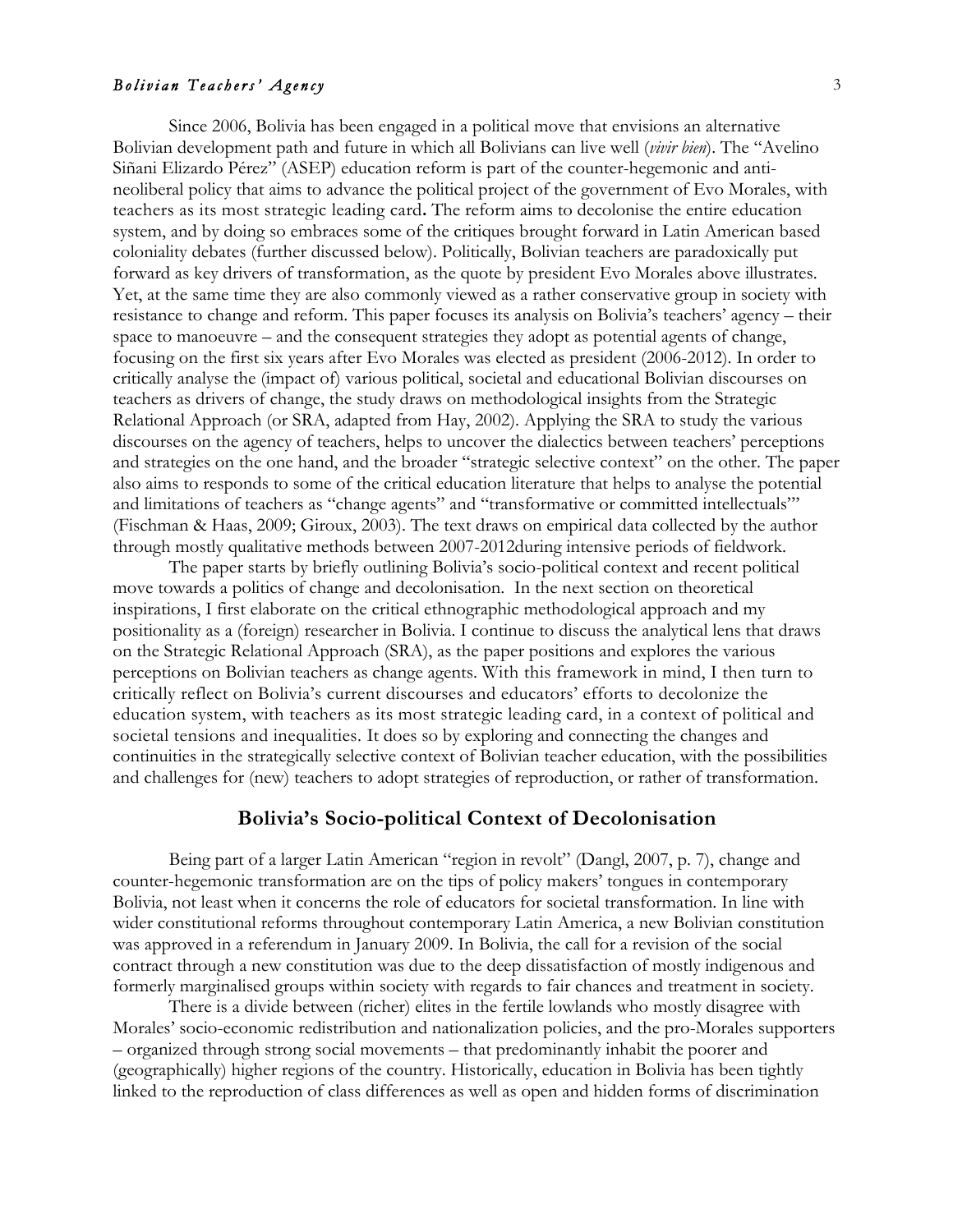Since 2006, Bolivia has been engaged in a political move that envisions an alternative Bolivian development path and future in which all Bolivians can live well (*vivir bien*). The "Avelino Siñani Elizardo Pérez" (ASEP) education reform is part of the counter-hegemonic and antineoliberal policy that aims to advance the political project of the government of Evo Morales, with teachers as its most strategic leading card**.** The reform aims to decolonise the entire education system, and by doing so embraces some of the critiques brought forward in Latin American based coloniality debates (further discussed below). Politically, Bolivian teachers are paradoxically put forward as key drivers of transformation, as the quote by president Evo Morales above illustrates. Yet, at the same time they are also commonly viewed as a rather conservative group in society with resistance to change and reform. This paper focuses its analysis on Bolivia's teachers' agency – their space to manoeuvre – and the consequent strategies they adopt as potential agents of change, focusing on the first six years after Evo Morales was elected as president (2006-2012). In order to critically analyse the (impact of) various political, societal and educational Bolivian discourses on teachers as drivers of change, the study draws on methodological insights from the Strategic Relational Approach (or SRA, adapted from Hay, 2002). Applying the SRA to study the various discourses on the agency of teachers, helps to uncover the dialectics between teachers' perceptions and strategies on the one hand, and the broader "strategic selective context" on the other. The paper also aims to responds to some of the critical education literature that helps to analyse the potential and limitations of teachers as "change agents" and "transformative or committed intellectuals"' (Fischman & Haas, 2009; Giroux, 2003). The text draws on empirical data collected by the author through mostly qualitative methods between 2007-2012during intensive periods of fieldwork.

The paper starts by briefly outlining Bolivia's socio-political context and recent political move towards a politics of change and decolonisation. In the next section on theoretical inspirations, I first elaborate on the critical ethnographic methodological approach and my positionality as a (foreign) researcher in Bolivia. I continue to discuss the analytical lens that draws on the Strategic Relational Approach (SRA), as the paper positions and explores the various perceptions on Bolivian teachers as change agents. With this framework in mind, I then turn to critically reflect on Bolivia's current discourses and educators' efforts to decolonize the education system, with teachers as its most strategic leading card, in a context of political and societal tensions and inequalities. It does so by exploring and connecting the changes and continuities in the strategically selective context of Bolivian teacher education, with the possibilities and challenges for (new) teachers to adopt strategies of reproduction, or rather of transformation.

#### **Bolivia's Socio-political Context of Decolonisation**

Being part of a larger Latin American "region in revolt" (Dangl, 2007, p. 7), change and counter-hegemonic transformation are on the tips of policy makers' tongues in contemporary Bolivia, not least when it concerns the role of educators for societal transformation. In line with wider constitutional reforms throughout contemporary Latin America, a new Bolivian constitution was approved in a referendum in January 2009. In Bolivia, the call for a revision of the social contract through a new constitution was due to the deep dissatisfaction of mostly indigenous and formerly marginalised groups within society with regards to fair chances and treatment in society.

There is a divide between (richer) elites in the fertile lowlands who mostly disagree with Morales' socio-economic redistribution and nationalization policies, and the pro-Morales supporters – organized through strong social movements – that predominantly inhabit the poorer and (geographically) higher regions of the country. Historically, education in Bolivia has been tightly linked to the reproduction of class differences as well as open and hidden forms of discrimination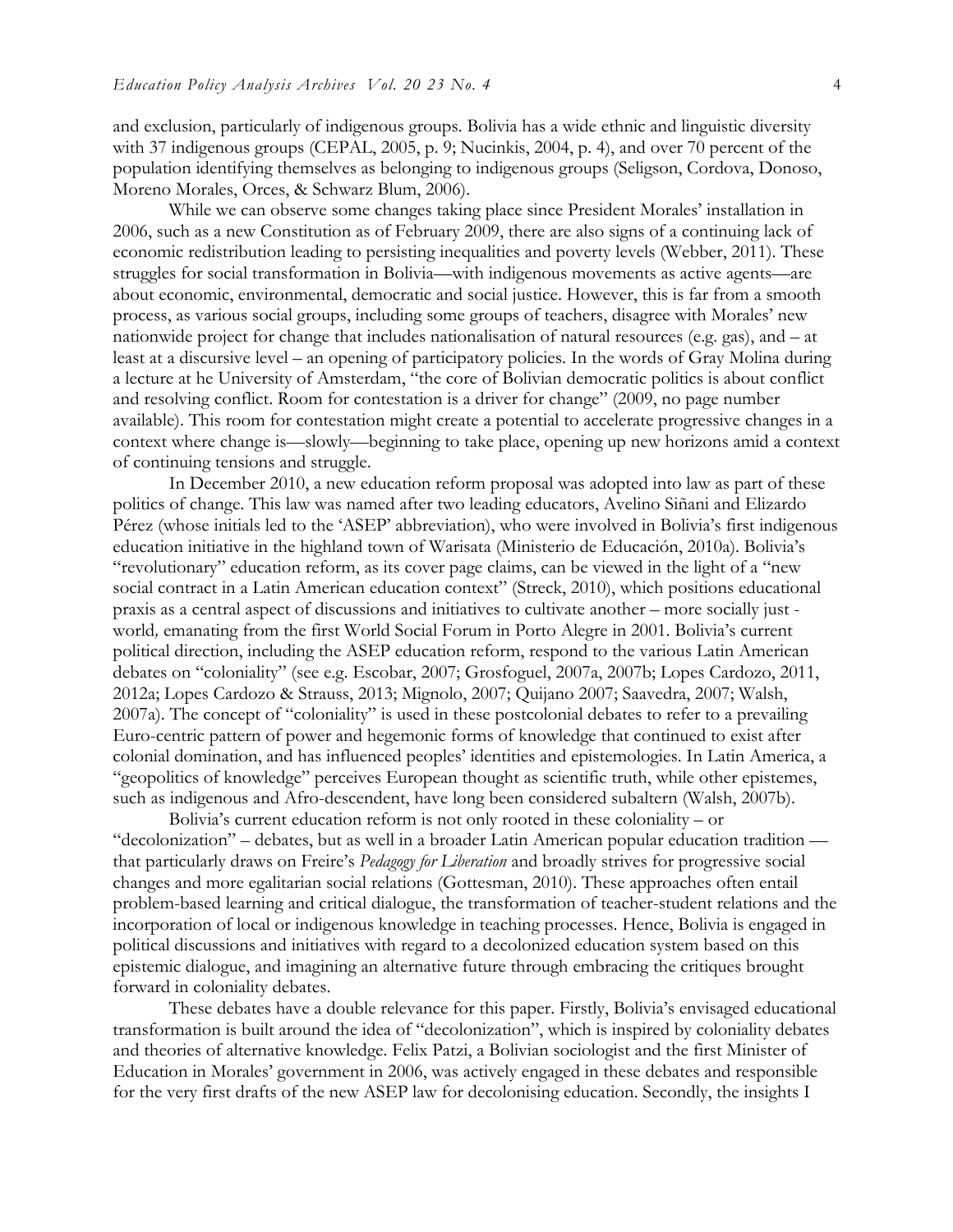and exclusion, particularly of indigenous groups. Bolivia has a wide ethnic and linguistic diversity with 37 indigenous groups (CEPAL, 2005, p. 9; Nucinkis, 2004, p. 4), and over 70 percent of the population identifying themselves as belonging to indigenous groups (Seligson, Cordova, Donoso, Moreno Morales, Orces, & Schwarz Blum, 2006).

While we can observe some changes taking place since President Morales' installation in 2006, such as a new Constitution as of February 2009, there are also signs of a continuing lack of economic redistribution leading to persisting inequalities and poverty levels (Webber, 2011). These struggles for social transformation in Bolivia—with indigenous movements as active agents—are about economic, environmental, democratic and social justice. However, this is far from a smooth process, as various social groups, including some groups of teachers, disagree with Morales' new nationwide project for change that includes nationalisation of natural resources (e.g. gas), and – at least at a discursive level – an opening of participatory policies. In the words of Gray Molina during a lecture at he University of Amsterdam, "the core of Bolivian democratic politics is about conflict and resolving conflict. Room for contestation is a driver for change" (2009, no page number available). This room for contestation might create a potential to accelerate progressive changes in a context where change is—slowly—beginning to take place, opening up new horizons amid a context of continuing tensions and struggle.

In December 2010, a new education reform proposal was adopted into law as part of these politics of change. This law was named after two leading educators, Avelino Siñani and Elizardo Pérez (whose initials led to the 'ASEP' abbreviation), who were involved in Bolivia's first indigenous education initiative in the highland town of Warisata (Ministerio de Educación, 2010a). Bolivia's "revolutionary" education reform, as its cover page claims, can be viewed in the light of a "new social contract in a Latin American education context" (Streck, 2010), which positions educational praxis as a central aspect of discussions and initiatives to cultivate another – more socially just world*,* emanating from the first World Social Forum in Porto Alegre in 2001. Bolivia's current political direction, including the ASEP education reform, respond to the various Latin American debates on "coloniality" (see e.g. Escobar, 2007; Grosfoguel, 2007a, 2007b; Lopes Cardozo, 2011, 2012a; Lopes Cardozo & Strauss, 2013; Mignolo, 2007; Quijano 2007; Saavedra, 2007; Walsh, 2007a). The concept of "coloniality" is used in these postcolonial debates to refer to a prevailing Euro-centric pattern of power and hegemonic forms of knowledge that continued to exist after colonial domination, and has influenced peoples' identities and epistemologies. In Latin America, a "geopolitics of knowledge" perceives European thought as scientific truth, while other epistemes, such as indigenous and Afro-descendent, have long been considered subaltern (Walsh, 2007b).

Bolivia's current education reform is not only rooted in these coloniality – or "decolonization" – debates, but as well in a broader Latin American popular education tradition that particularly draws on Freire's *Pedagogy for Liberation* and broadly strives for progressive social changes and more egalitarian social relations (Gottesman, 2010). These approaches often entail problem-based learning and critical dialogue, the transformation of teacher-student relations and the incorporation of local or indigenous knowledge in teaching processes. Hence, Bolivia is engaged in political discussions and initiatives with regard to a decolonized education system based on this epistemic dialogue, and imagining an alternative future through embracing the critiques brought forward in coloniality debates.

These debates have a double relevance for this paper. Firstly, Bolivia's envisaged educational transformation is built around the idea of "decolonization", which is inspired by coloniality debates and theories of alternative knowledge. Felix Patzi, a Bolivian sociologist and the first Minister of Education in Morales' government in 2006, was actively engaged in these debates and responsible for the very first drafts of the new ASEP law for decolonising education. Secondly, the insights I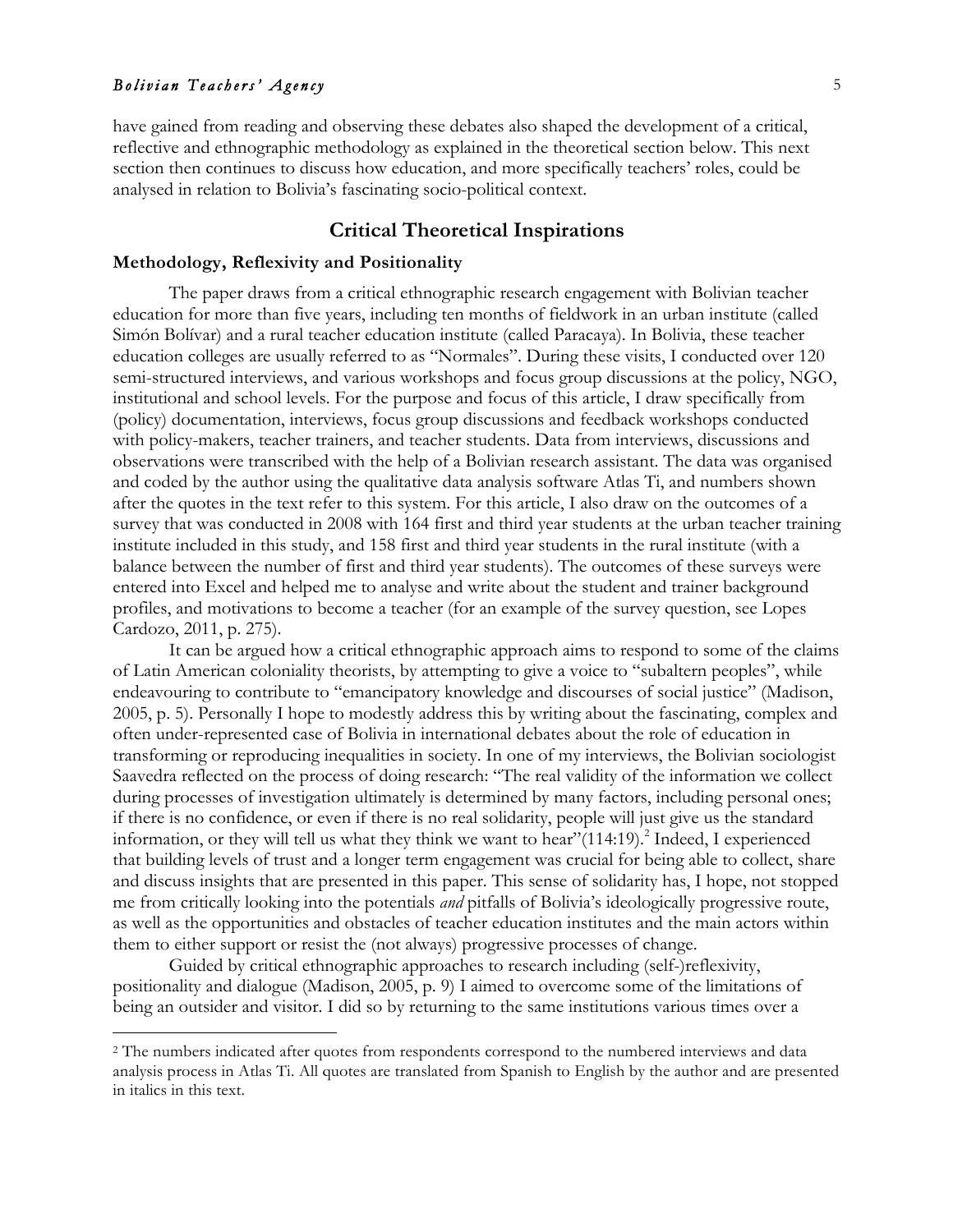have gained from reading and observing these debates also shaped the development of a critical, reflective and ethnographic methodology as explained in the theoretical section below. This next section then continues to discuss how education, and more specifically teachers' roles, could be analysed in relation to Bolivia's fascinating socio-political context.

## **Critical Theoretical Inspirations**

#### **Methodology, Reflexivity and Positionality**

The paper draws from a critical ethnographic research engagement with Bolivian teacher education for more than five years, including ten months of fieldwork in an urban institute (called Simón Bolívar) and a rural teacher education institute (called Paracaya). In Bolivia, these teacher education colleges are usually referred to as "Normales". During these visits, I conducted over 120 semi-structured interviews, and various workshops and focus group discussions at the policy, NGO, institutional and school levels. For the purpose and focus of this article, I draw specifically from (policy) documentation, interviews, focus group discussions and feedback workshops conducted with policy-makers, teacher trainers, and teacher students. Data from interviews, discussions and observations were transcribed with the help of a Bolivian research assistant. The data was organised and coded by the author using the qualitative data analysis software Atlas Ti, and numbers shown after the quotes in the text refer to this system. For this article, I also draw on the outcomes of a survey that was conducted in 2008 with 164 first and third year students at the urban teacher training institute included in this study, and 158 first and third year students in the rural institute (with a balance between the number of first and third year students). The outcomes of these surveys were entered into Excel and helped me to analyse and write about the student and trainer background profiles, and motivations to become a teacher (for an example of the survey question, see Lopes Cardozo, 2011, p. 275).

It can be argued how a critical ethnographic approach aims to respond to some of the claims of Latin American coloniality theorists, by attempting to give a voice to "subaltern peoples", while endeavouring to contribute to "emancipatory knowledge and discourses of social justice" (Madison, 2005, p. 5). Personally I hope to modestly address this by writing about the fascinating, complex and often under-represented case of Bolivia in international debates about the role of education in transforming or reproducing inequalities in society. In one of my interviews, the Bolivian sociologist Saavedra reflected on the process of doing research: "The real validity of the information we collect during processes of investigation ultimately is determined by many factors, including personal ones; if there is no confidence, or even if there is no real solidarity, people will just give us the standard information, or they will tell us what they think we want to hear"(114:19).<sup>2</sup> Indeed, I experienced that building levels of trust and a longer term engagement was crucial for being able to collect, share and discuss insights that are presented in this paper. This sense of solidarity has, I hope, not stopped me from critically looking into the potentials *and* pitfalls of Bolivia's ideologically progressive route, as well as the opportunities and obstacles of teacher education institutes and the main actors within them to either support or resist the (not always) progressive processes of change.

Guided by critical ethnographic approaches to research including (self-)reflexivity, positionality and dialogue (Madison, 2005, p. 9) I aimed to overcome some of the limitations of being an outsider and visitor. I did so by returning to the same institutions various times over a

 <sup>2</sup> The numbers indicated after quotes from respondents correspond to the numbered interviews and data analysis process in Atlas Ti. All quotes are translated from Spanish to English by the author and are presented in italics in this text.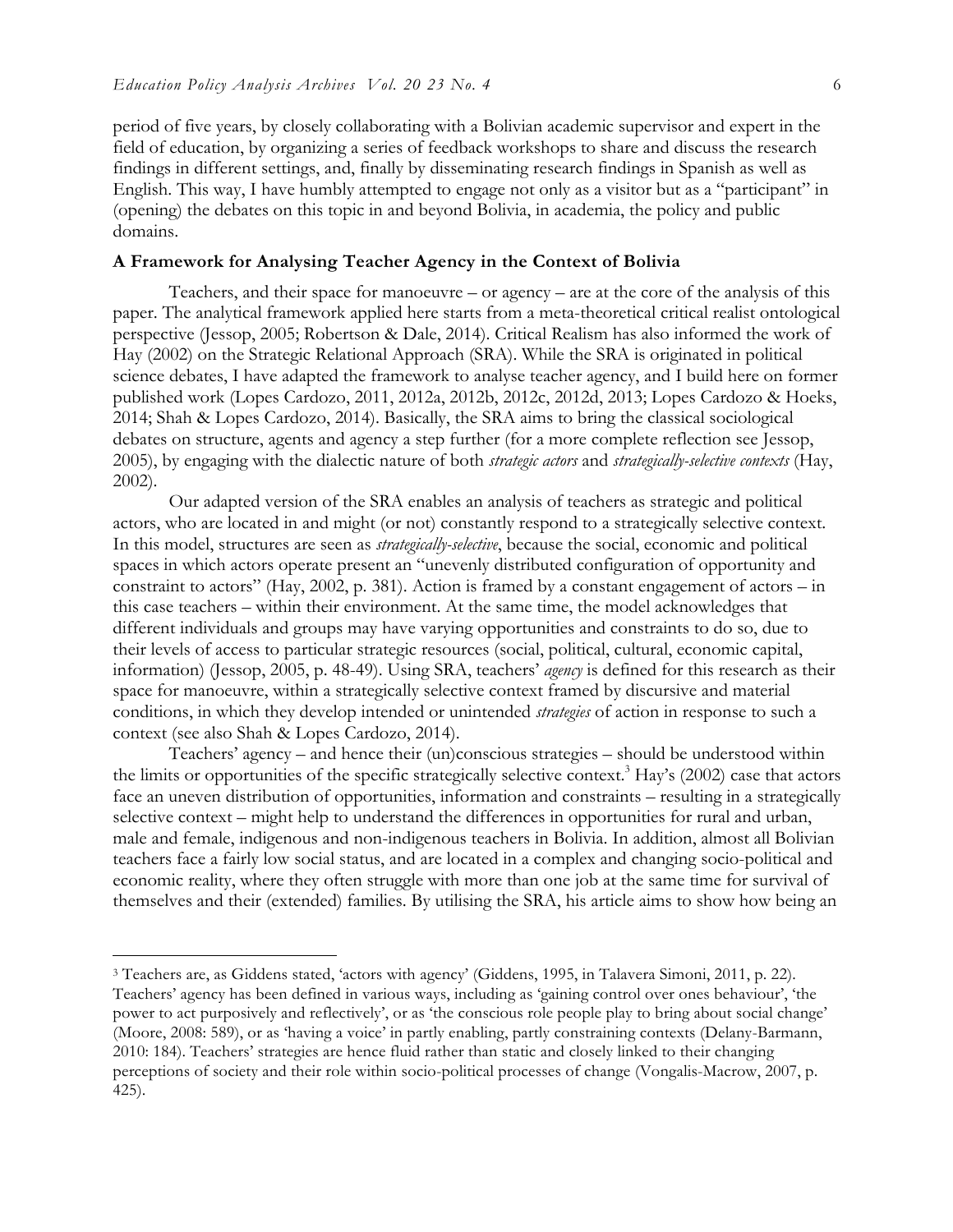period of five years, by closely collaborating with a Bolivian academic supervisor and expert in the field of education, by organizing a series of feedback workshops to share and discuss the research findings in different settings, and, finally by disseminating research findings in Spanish as well as English. This way, I have humbly attempted to engage not only as a visitor but as a "participant" in (opening) the debates on this topic in and beyond Bolivia, in academia, the policy and public domains.

#### **A Framework for Analysing Teacher Agency in the Context of Bolivia**

Teachers, and their space for manoeuvre – or agency – are at the core of the analysis of this paper. The analytical framework applied here starts from a meta-theoretical critical realist ontological perspective (Jessop, 2005; Robertson & Dale, 2014). Critical Realism has also informed the work of Hay (2002) on the Strategic Relational Approach (SRA). While the SRA is originated in political science debates, I have adapted the framework to analyse teacher agency, and I build here on former published work (Lopes Cardozo, 2011, 2012a, 2012b, 2012c, 2012d, 2013; Lopes Cardozo & Hoeks, 2014; Shah & Lopes Cardozo, 2014). Basically, the SRA aims to bring the classical sociological debates on structure, agents and agency a step further (for a more complete reflection see Jessop, 2005), by engaging with the dialectic nature of both *strategic actors* and *strategically-selective contexts* (Hay, 2002).

Our adapted version of the SRA enables an analysis of teachers as strategic and political actors, who are located in and might (or not) constantly respond to a strategically selective context. In this model, structures are seen as *strategically-selective*, because the social, economic and political spaces in which actors operate present an "unevenly distributed configuration of opportunity and constraint to actors" (Hay, 2002, p. 381). Action is framed by a constant engagement of actors – in this case teachers – within their environment. At the same time, the model acknowledges that different individuals and groups may have varying opportunities and constraints to do so, due to their levels of access to particular strategic resources (social, political, cultural, economic capital, information) (Jessop, 2005, p. 48-49). Using SRA, teachers' *agency* is defined for this research as their space for manoeuvre, within a strategically selective context framed by discursive and material conditions, in which they develop intended or unintended *strategies* of action in response to such a context (see also Shah & Lopes Cardozo, 2014).

Teachers' agency – and hence their (un)conscious strategies – should be understood within the limits or opportunities of the specific strategically selective context.<sup>3</sup> Hay's (2002) case that actors face an uneven distribution of opportunities, information and constraints – resulting in a strategically selective context – might help to understand the differences in opportunities for rural and urban, male and female, indigenous and non-indigenous teachers in Bolivia. In addition, almost all Bolivian teachers face a fairly low social status, and are located in a complex and changing socio-political and economic reality, where they often struggle with more than one job at the same time for survival of themselves and their (extended) families. By utilising the SRA, his article aims to show how being an

 <sup>3</sup> Teachers are, as Giddens stated, 'actors with agency' (Giddens, 1995, in Talavera Simoni, 2011, p. 22). Teachers' agency has been defined in various ways, including as 'gaining control over ones behaviour', 'the power to act purposively and reflectively', or as 'the conscious role people play to bring about social change' (Moore, 2008: 589), or as 'having a voice' in partly enabling, partly constraining contexts (Delany-Barmann, 2010: 184). Teachers' strategies are hence fluid rather than static and closely linked to their changing perceptions of society and their role within socio-political processes of change (Vongalis-Macrow, 2007, p. 425).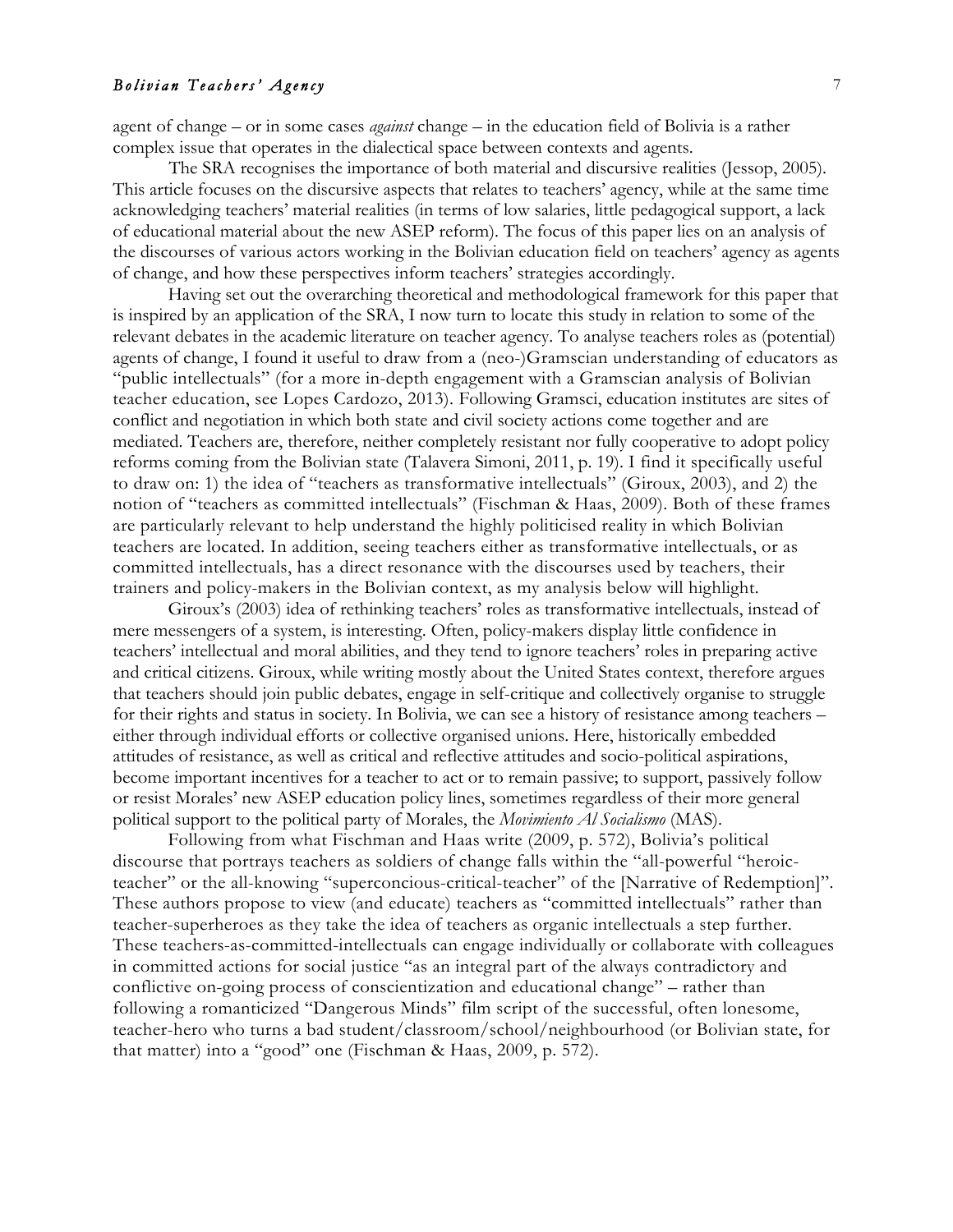agent of change – or in some cases *against* change – in the education field of Bolivia is a rather complex issue that operates in the dialectical space between contexts and agents.

The SRA recognises the importance of both material and discursive realities (Jessop, 2005). This article focuses on the discursive aspects that relates to teachers' agency, while at the same time acknowledging teachers' material realities (in terms of low salaries, little pedagogical support, a lack of educational material about the new ASEP reform). The focus of this paper lies on an analysis of the discourses of various actors working in the Bolivian education field on teachers' agency as agents of change, and how these perspectives inform teachers' strategies accordingly.

Having set out the overarching theoretical and methodological framework for this paper that is inspired by an application of the SRA, I now turn to locate this study in relation to some of the relevant debates in the academic literature on teacher agency. To analyse teachers roles as (potential) agents of change, I found it useful to draw from a (neo-)Gramscian understanding of educators as "public intellectuals" (for a more in-depth engagement with a Gramscian analysis of Bolivian teacher education, see Lopes Cardozo, 2013). Following Gramsci, education institutes are sites of conflict and negotiation in which both state and civil society actions come together and are mediated. Teachers are, therefore, neither completely resistant nor fully cooperative to adopt policy reforms coming from the Bolivian state (Talavera Simoni, 2011, p. 19). I find it specifically useful to draw on: 1) the idea of "teachers as transformative intellectuals" (Giroux, 2003), and 2) the notion of "teachers as committed intellectuals" (Fischman & Haas, 2009). Both of these frames are particularly relevant to help understand the highly politicised reality in which Bolivian teachers are located. In addition, seeing teachers either as transformative intellectuals, or as committed intellectuals, has a direct resonance with the discourses used by teachers, their trainers and policy-makers in the Bolivian context, as my analysis below will highlight.

Giroux's (2003) idea of rethinking teachers' roles as transformative intellectuals, instead of mere messengers of a system, is interesting. Often, policy-makers display little confidence in teachers' intellectual and moral abilities, and they tend to ignore teachers' roles in preparing active and critical citizens. Giroux, while writing mostly about the United States context, therefore argues that teachers should join public debates, engage in self-critique and collectively organise to struggle for their rights and status in society. In Bolivia, we can see a history of resistance among teachers – either through individual efforts or collective organised unions. Here, historically embedded attitudes of resistance, as well as critical and reflective attitudes and socio-political aspirations, become important incentives for a teacher to act or to remain passive; to support, passively follow or resist Morales' new ASEP education policy lines, sometimes regardless of their more general political support to the political party of Morales, the *Movimiento Al Socialismo* (MAS).

Following from what Fischman and Haas write (2009, p. 572), Bolivia's political discourse that portrays teachers as soldiers of change falls within the "all-powerful "heroicteacher" or the all-knowing "superconcious-critical-teacher" of the [Narrative of Redemption]". These authors propose to view (and educate) teachers as "committed intellectuals" rather than teacher-superheroes as they take the idea of teachers as organic intellectuals a step further. These teachers-as-committed-intellectuals can engage individually or collaborate with colleagues in committed actions for social justice "as an integral part of the always contradictory and conflictive on-going process of conscientization and educational change" – rather than following a romanticized "Dangerous Minds" film script of the successful, often lonesome, teacher-hero who turns a bad student/classroom/school/neighbourhood (or Bolivian state, for that matter) into a "good" one (Fischman & Haas, 2009, p. 572).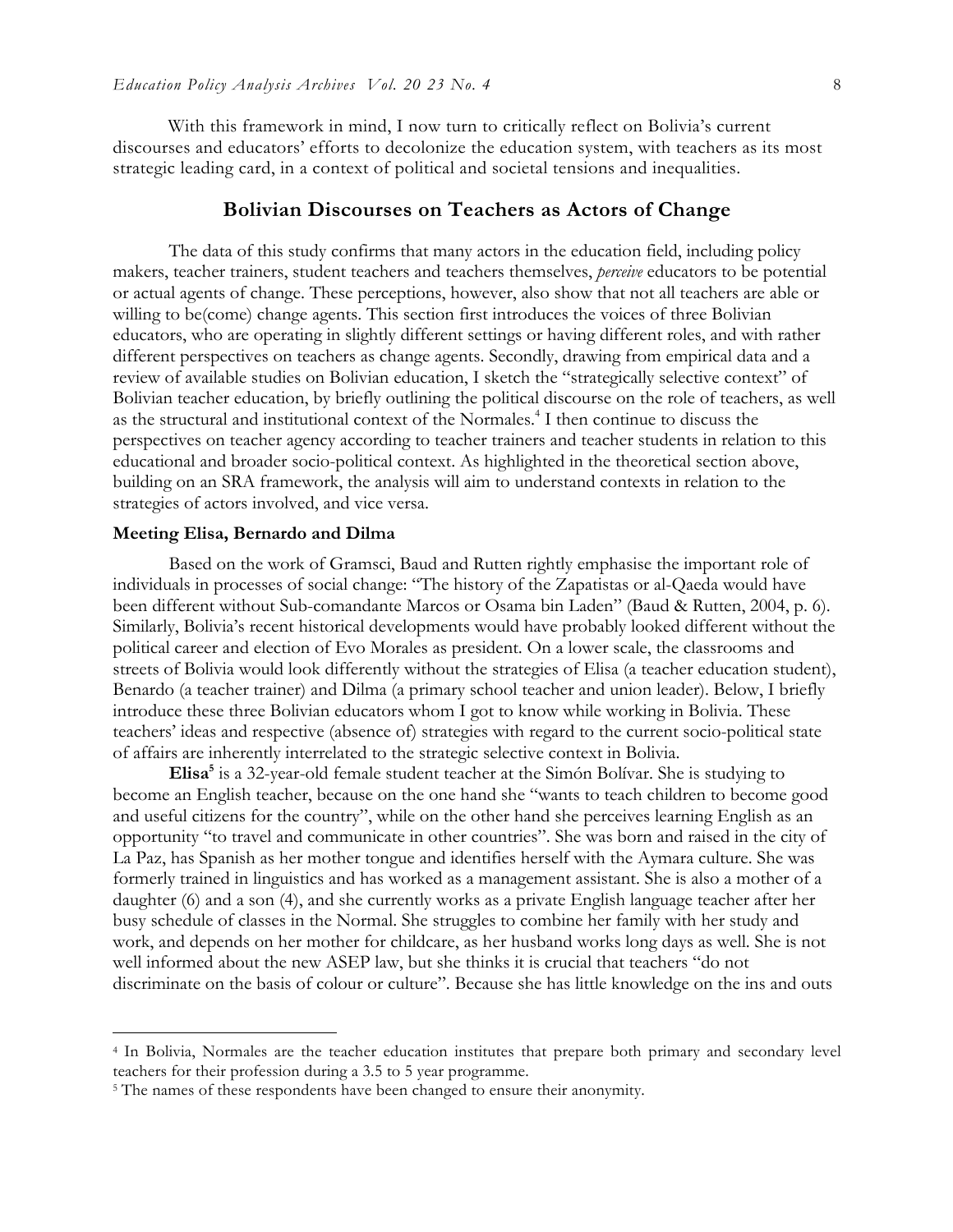With this framework in mind, I now turn to critically reflect on Bolivia's current discourses and educators' efforts to decolonize the education system, with teachers as its most strategic leading card, in a context of political and societal tensions and inequalities.

#### **Bolivian Discourses on Teachers as Actors of Change**

The data of this study confirms that many actors in the education field, including policy makers, teacher trainers, student teachers and teachers themselves, *perceive* educators to be potential or actual agents of change. These perceptions, however, also show that not all teachers are able or willing to be(come) change agents. This section first introduces the voices of three Bolivian educators, who are operating in slightly different settings or having different roles, and with rather different perspectives on teachers as change agents. Secondly, drawing from empirical data and a review of available studies on Bolivian education, I sketch the "strategically selective context" of Bolivian teacher education, by briefly outlining the political discourse on the role of teachers, as well as the structural and institutional context of the Normales.<sup>4</sup> I then continue to discuss the perspectives on teacher agency according to teacher trainers and teacher students in relation to this educational and broader socio-political context. As highlighted in the theoretical section above, building on an SRA framework, the analysis will aim to understand contexts in relation to the strategies of actors involved, and vice versa.

#### **Meeting Elisa, Bernardo and Dilma**

Based on the work of Gramsci, Baud and Rutten rightly emphasise the important role of individuals in processes of social change: "The history of the Zapatistas or al-Qaeda would have been different without Sub-comandante Marcos or Osama bin Laden" (Baud & Rutten, 2004, p. 6). Similarly, Bolivia's recent historical developments would have probably looked different without the political career and election of Evo Morales as president. On a lower scale, the classrooms and streets of Bolivia would look differently without the strategies of Elisa (a teacher education student), Benardo (a teacher trainer) and Dilma (a primary school teacher and union leader). Below, I briefly introduce these three Bolivian educators whom I got to know while working in Bolivia. These teachers' ideas and respective (absence of) strategies with regard to the current socio-political state of affairs are inherently interrelated to the strategic selective context in Bolivia.

**Elisa5** is a 32-year-old female student teacher at the Simón Bolívar. She is studying to become an English teacher, because on the one hand she "wants to teach children to become good and useful citizens for the country", while on the other hand she perceives learning English as an opportunity "to travel and communicate in other countries". She was born and raised in the city of La Paz, has Spanish as her mother tongue and identifies herself with the Aymara culture. She was formerly trained in linguistics and has worked as a management assistant. She is also a mother of a daughter (6) and a son (4), and she currently works as a private English language teacher after her busy schedule of classes in the Normal. She struggles to combine her family with her study and work, and depends on her mother for childcare, as her husband works long days as well. She is not well informed about the new ASEP law, but she thinks it is crucial that teachers "do not discriminate on the basis of colour or culture". Because she has little knowledge on the ins and outs

 <sup>4</sup> In Bolivia, Normales are the teacher education institutes that prepare both primary and secondary level teachers for their profession during a 3.5 to 5 year programme.

<sup>&</sup>lt;sup>5</sup> The names of these respondents have been changed to ensure their anonymity.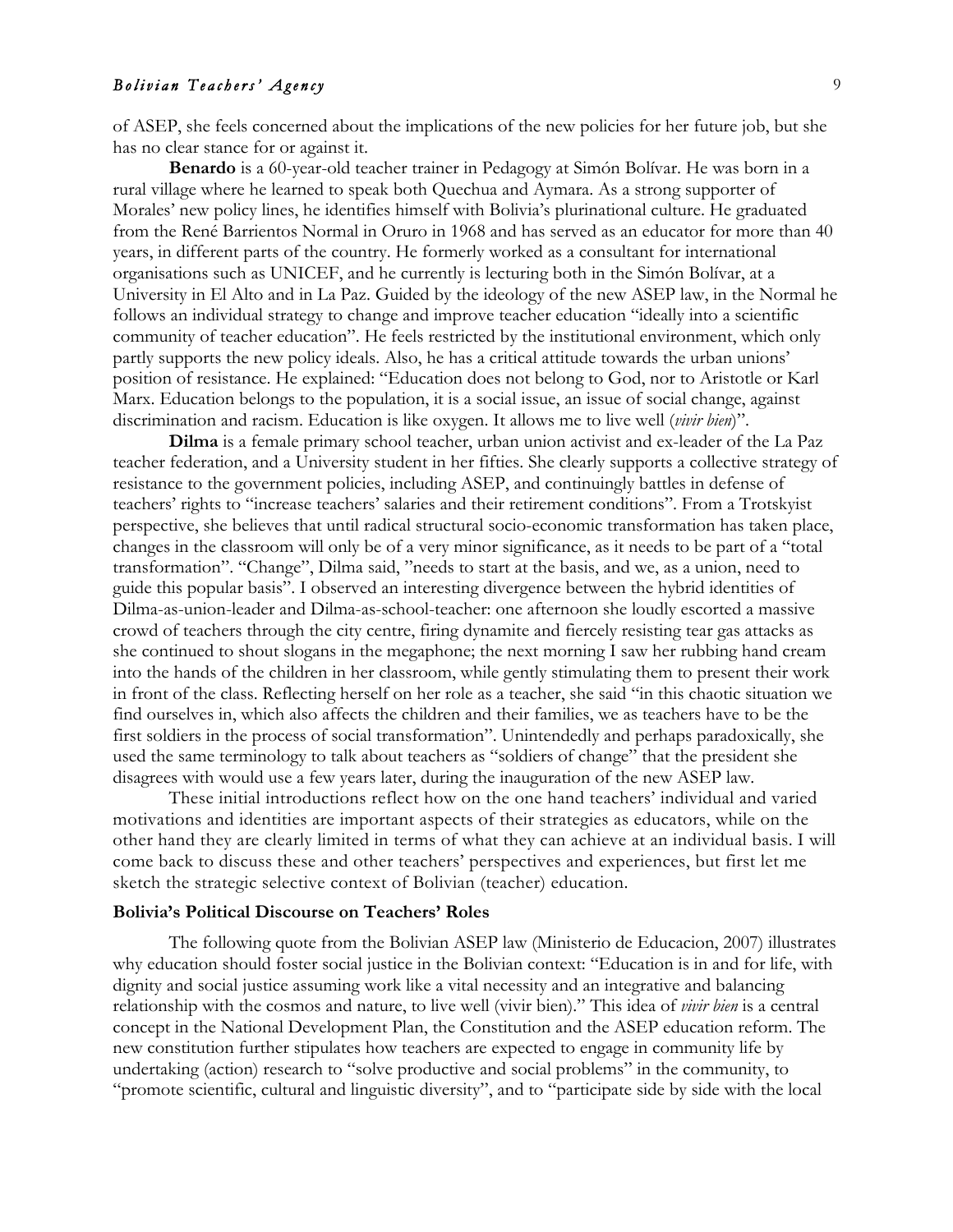of ASEP, she feels concerned about the implications of the new policies for her future job, but she has no clear stance for or against it.

**Benardo** is a 60-year-old teacher trainer in Pedagogy at Simón Bolívar. He was born in a rural village where he learned to speak both Quechua and Aymara. As a strong supporter of Morales' new policy lines, he identifies himself with Bolivia's plurinational culture. He graduated from the René Barrientos Normal in Oruro in 1968 and has served as an educator for more than 40 years, in different parts of the country. He formerly worked as a consultant for international organisations such as UNICEF, and he currently is lecturing both in the Simón Bolívar, at a University in El Alto and in La Paz. Guided by the ideology of the new ASEP law, in the Normal he follows an individual strategy to change and improve teacher education "ideally into a scientific community of teacher education". He feels restricted by the institutional environment, which only partly supports the new policy ideals. Also, he has a critical attitude towards the urban unions' position of resistance. He explained: "Education does not belong to God, nor to Aristotle or Karl Marx. Education belongs to the population, it is a social issue, an issue of social change, against discrimination and racism. Education is like oxygen. It allows me to live well (*vivir bien*)".

**Dilma** is a female primary school teacher, urban union activist and ex-leader of the La Paz teacher federation, and a University student in her fifties. She clearly supports a collective strategy of resistance to the government policies, including ASEP, and continuingly battles in defense of teachers' rights to "increase teachers' salaries and their retirement conditions". From a Trotskyist perspective, she believes that until radical structural socio-economic transformation has taken place, changes in the classroom will only be of a very minor significance, as it needs to be part of a "total transformation". "Change", Dilma said, "needs to start at the basis, and we, as a union, need to guide this popular basis". I observed an interesting divergence between the hybrid identities of Dilma-as-union-leader and Dilma-as-school-teacher: one afternoon she loudly escorted a massive crowd of teachers through the city centre, firing dynamite and fiercely resisting tear gas attacks as she continued to shout slogans in the megaphone; the next morning I saw her rubbing hand cream into the hands of the children in her classroom, while gently stimulating them to present their work in front of the class. Reflecting herself on her role as a teacher, she said "in this chaotic situation we find ourselves in, which also affects the children and their families, we as teachers have to be the first soldiers in the process of social transformation". Unintendedly and perhaps paradoxically, she used the same terminology to talk about teachers as "soldiers of change" that the president she disagrees with would use a few years later, during the inauguration of the new ASEP law.

These initial introductions reflect how on the one hand teachers' individual and varied motivations and identities are important aspects of their strategies as educators, while on the other hand they are clearly limited in terms of what they can achieve at an individual basis. I will come back to discuss these and other teachers' perspectives and experiences, but first let me sketch the strategic selective context of Bolivian (teacher) education.

#### **Bolivia's Political Discourse on Teachers' Roles**

The following quote from the Bolivian ASEP law (Ministerio de Educacion, 2007) illustrates why education should foster social justice in the Bolivian context: "Education is in and for life, with dignity and social justice assuming work like a vital necessity and an integrative and balancing relationship with the cosmos and nature, to live well (vivir bien)." This idea of *vivir bien* is a central concept in the National Development Plan, the Constitution and the ASEP education reform. The new constitution further stipulates how teachers are expected to engage in community life by undertaking (action) research to "solve productive and social problems" in the community, to "promote scientific, cultural and linguistic diversity", and to "participate side by side with the local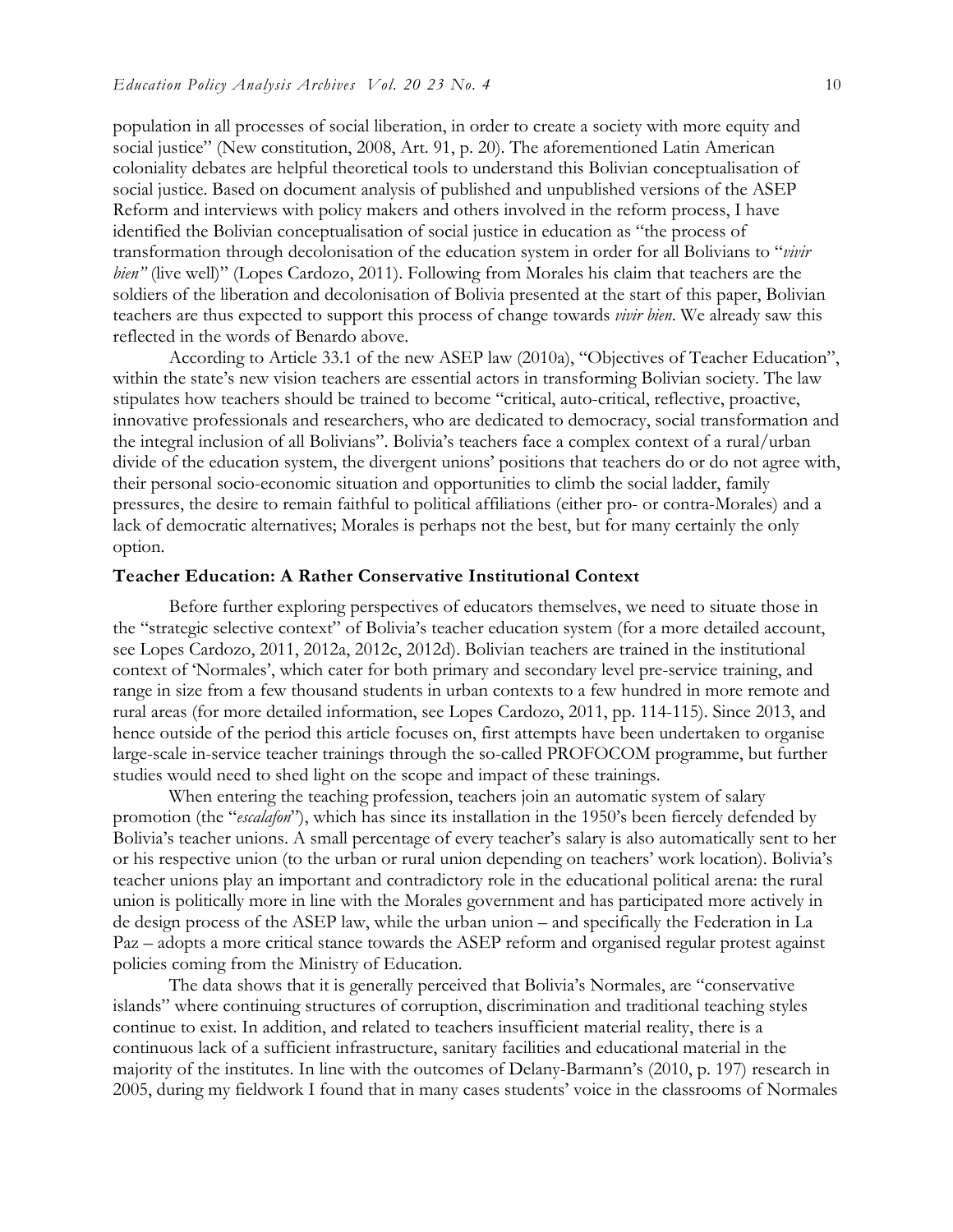population in all processes of social liberation, in order to create a society with more equity and social justice" (New constitution, 2008, Art. 91, p. 20). The aforementioned Latin American coloniality debates are helpful theoretical tools to understand this Bolivian conceptualisation of social justice. Based on document analysis of published and unpublished versions of the ASEP Reform and interviews with policy makers and others involved in the reform process, I have identified the Bolivian conceptualisation of social justice in education as "the process of transformation through decolonisation of the education system in order for all Bolivians to "*vivir bien"* (live well)" (Lopes Cardozo, 2011). Following from Morales his claim that teachers are the soldiers of the liberation and decolonisation of Bolivia presented at the start of this paper, Bolivian teachers are thus expected to support this process of change towards *vivir bien*. We already saw this reflected in the words of Benardo above.

According to Article 33.1 of the new ASEP law (2010a), "Objectives of Teacher Education", within the state's new vision teachers are essential actors in transforming Bolivian society. The law stipulates how teachers should be trained to become "critical, auto-critical, reflective, proactive, innovative professionals and researchers, who are dedicated to democracy, social transformation and the integral inclusion of all Bolivians". Bolivia's teachers face a complex context of a rural/urban divide of the education system, the divergent unions' positions that teachers do or do not agree with, their personal socio-economic situation and opportunities to climb the social ladder, family pressures, the desire to remain faithful to political affiliations (either pro- or contra-Morales) and a lack of democratic alternatives; Morales is perhaps not the best, but for many certainly the only option.

#### **Teacher Education: A Rather Conservative Institutional Context**

Before further exploring perspectives of educators themselves, we need to situate those in the "strategic selective context" of Bolivia's teacher education system (for a more detailed account, see Lopes Cardozo, 2011, 2012a, 2012c, 2012d). Bolivian teachers are trained in the institutional context of 'Normales', which cater for both primary and secondary level pre-service training, and range in size from a few thousand students in urban contexts to a few hundred in more remote and rural areas (for more detailed information, see Lopes Cardozo, 2011, pp. 114-115). Since 2013, and hence outside of the period this article focuses on, first attempts have been undertaken to organise large-scale in-service teacher trainings through the so-called PROFOCOM programme, but further studies would need to shed light on the scope and impact of these trainings.

When entering the teaching profession, teachers join an automatic system of salary promotion (the "*escalafon*"), which has since its installation in the 1950's been fiercely defended by Bolivia's teacher unions. A small percentage of every teacher's salary is also automatically sent to her or his respective union (to the urban or rural union depending on teachers' work location). Bolivia's teacher unions play an important and contradictory role in the educational political arena: the rural union is politically more in line with the Morales government and has participated more actively in de design process of the ASEP law, while the urban union – and specifically the Federation in La Paz – adopts a more critical stance towards the ASEP reform and organised regular protest against policies coming from the Ministry of Education.

The data shows that it is generally perceived that Bolivia's Normales, are "conservative islands" where continuing structures of corruption, discrimination and traditional teaching styles continue to exist. In addition, and related to teachers insufficient material reality, there is a continuous lack of a sufficient infrastructure, sanitary facilities and educational material in the majority of the institutes. In line with the outcomes of Delany-Barmann's (2010, p. 197) research in 2005, during my fieldwork I found that in many cases students' voice in the classrooms of Normales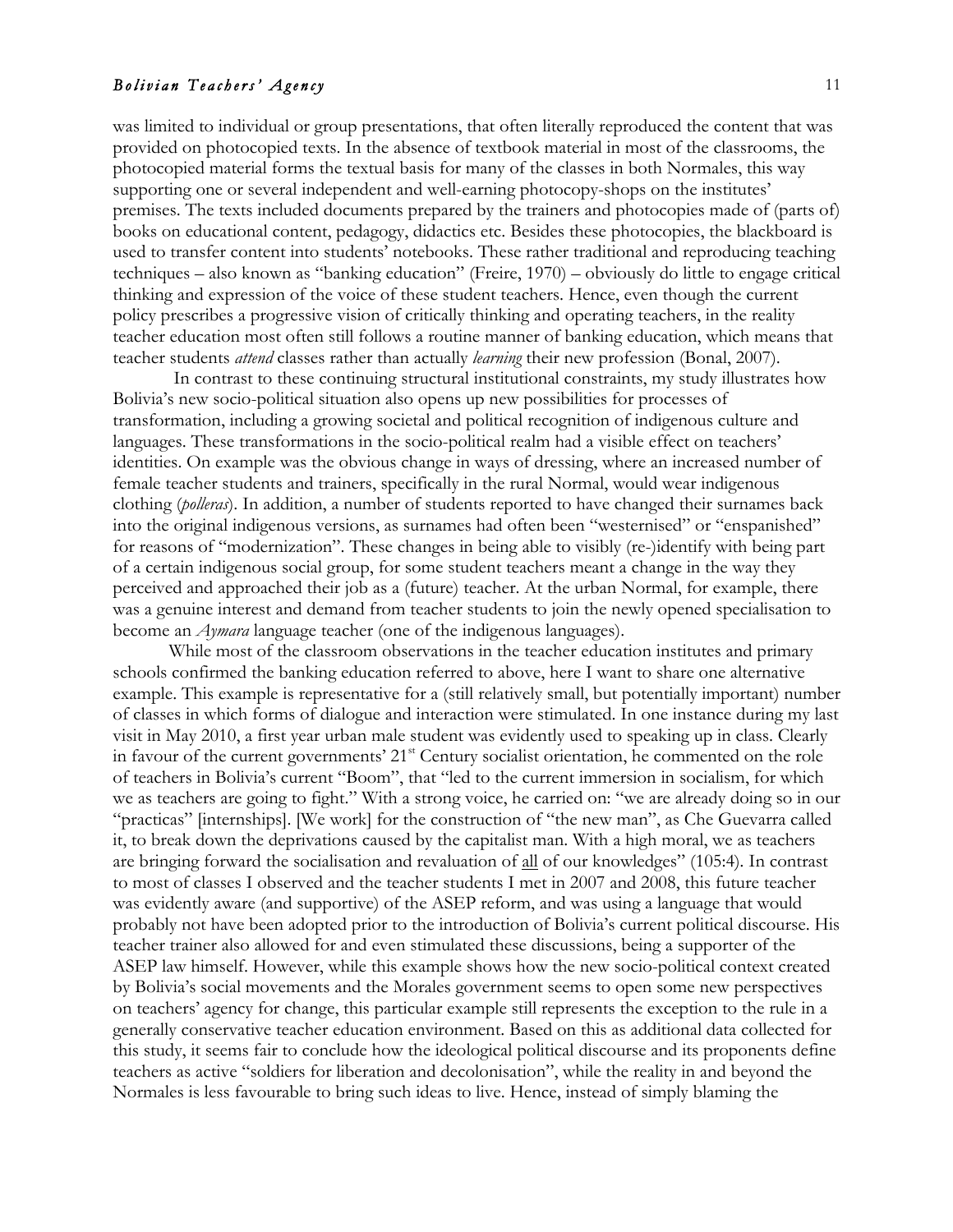was limited to individual or group presentations, that often literally reproduced the content that was provided on photocopied texts. In the absence of textbook material in most of the classrooms, the photocopied material forms the textual basis for many of the classes in both Normales, this way supporting one or several independent and well-earning photocopy-shops on the institutes' premises. The texts included documents prepared by the trainers and photocopies made of (parts of) books on educational content, pedagogy, didactics etc. Besides these photocopies, the blackboard is used to transfer content into students' notebooks. These rather traditional and reproducing teaching techniques – also known as "banking education" (Freire, 1970) – obviously do little to engage critical thinking and expression of the voice of these student teachers. Hence, even though the current policy prescribes a progressive vision of critically thinking and operating teachers, in the reality teacher education most often still follows a routine manner of banking education, which means that teacher students *attend* classes rather than actually *learning* their new profession (Bonal, 2007).

In contrast to these continuing structural institutional constraints, my study illustrates how Bolivia's new socio-political situation also opens up new possibilities for processes of transformation, including a growing societal and political recognition of indigenous culture and languages. These transformations in the socio-political realm had a visible effect on teachers' identities. On example was the obvious change in ways of dressing, where an increased number of female teacher students and trainers, specifically in the rural Normal, would wear indigenous clothing (*polleras*). In addition, a number of students reported to have changed their surnames back into the original indigenous versions, as surnames had often been "westernised" or "enspanished" for reasons of "modernization". These changes in being able to visibly (re-)identify with being part of a certain indigenous social group, for some student teachers meant a change in the way they perceived and approached their job as a (future) teacher. At the urban Normal, for example, there was a genuine interest and demand from teacher students to join the newly opened specialisation to become an *Aymara* language teacher (one of the indigenous languages).

While most of the classroom observations in the teacher education institutes and primary schools confirmed the banking education referred to above, here I want to share one alternative example. This example is representative for a (still relatively small, but potentially important) number of classes in which forms of dialogue and interaction were stimulated. In one instance during my last visit in May 2010, a first year urban male student was evidently used to speaking up in class. Clearly in favour of the current governments' 21<sup>st</sup> Century socialist orientation, he commented on the role of teachers in Bolivia's current "Boom", that "led to the current immersion in socialism, for which we as teachers are going to fight." With a strong voice, he carried on: "we are already doing so in our "practicas" [internships]. [We work] for the construction of "the new man", as Che Guevarra called it, to break down the deprivations caused by the capitalist man. With a high moral, we as teachers are bringing forward the socialisation and revaluation of all of our knowledges" (105:4)*.* In contrast to most of classes I observed and the teacher students I met in 2007 and 2008, this future teacher was evidently aware (and supportive) of the ASEP reform, and was using a language that would probably not have been adopted prior to the introduction of Bolivia's current political discourse. His teacher trainer also allowed for and even stimulated these discussions, being a supporter of the ASEP law himself. However, while this example shows how the new socio-political context created by Bolivia's social movements and the Morales government seems to open some new perspectives on teachers' agency for change, this particular example still represents the exception to the rule in a generally conservative teacher education environment. Based on this as additional data collected for this study, it seems fair to conclude how the ideological political discourse and its proponents define teachers as active "soldiers for liberation and decolonisation", while the reality in and beyond the Normales is less favourable to bring such ideas to live. Hence, instead of simply blaming the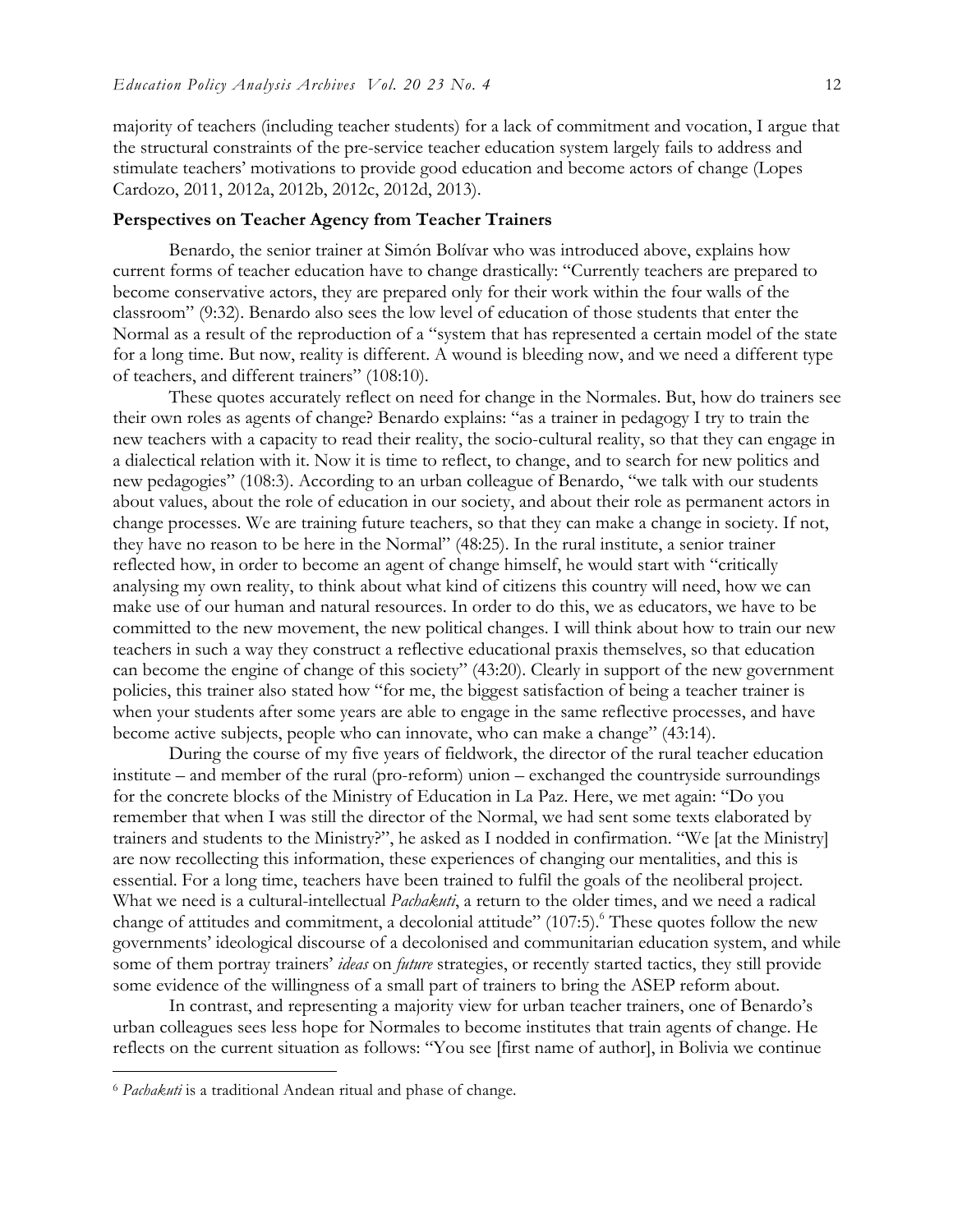majority of teachers (including teacher students) for a lack of commitment and vocation, I argue that the structural constraints of the pre-service teacher education system largely fails to address and stimulate teachers' motivations to provide good education and become actors of change (Lopes Cardozo, 2011, 2012a, 2012b, 2012c, 2012d, 2013).

#### **Perspectives on Teacher Agency from Teacher Trainers**

Benardo, the senior trainer at Simón Bolívar who was introduced above, explains how current forms of teacher education have to change drastically: "Currently teachers are prepared to become conservative actors, they are prepared only for their work within the four walls of the classroom" (9:32). Benardo also sees the low level of education of those students that enter the Normal as a result of the reproduction of a "system that has represented a certain model of the state for a long time. But now, reality is different. A wound is bleeding now, and we need a different type of teachers, and different trainers" (108:10).

These quotes accurately reflect on need for change in the Normales. But, how do trainers see their own roles as agents of change? Benardo explains: "as a trainer in pedagogy I try to train the new teachers with a capacity to read their reality, the socio-cultural reality, so that they can engage in a dialectical relation with it. Now it is time to reflect, to change, and to search for new politics and new pedagogies" (108:3). According to an urban colleague of Benardo, "we talk with our students about values, about the role of education in our society, and about their role as permanent actors in change processes. We are training future teachers, so that they can make a change in society. If not, they have no reason to be here in the Normal" (48:25). In the rural institute, a senior trainer reflected how, in order to become an agent of change himself, he would start with "critically analysing my own reality, to think about what kind of citizens this country will need, how we can make use of our human and natural resources. In order to do this, we as educators, we have to be committed to the new movement, the new political changes. I will think about how to train our new teachers in such a way they construct a reflective educational praxis themselves, so that education can become the engine of change of this society" (43:20). Clearly in support of the new government policies, this trainer also stated how "for me, the biggest satisfaction of being a teacher trainer is when your students after some years are able to engage in the same reflective processes, and have become active subjects, people who can innovate, who can make a change" (43:14).

During the course of my five years of fieldwork, the director of the rural teacher education institute – and member of the rural (pro-reform) union – exchanged the countryside surroundings for the concrete blocks of the Ministry of Education in La Paz. Here, we met again: "Do you remember that when I was still the director of the Normal, we had sent some texts elaborated by trainers and students to the Ministry?", he asked as I nodded in confirmation. "We [at the Ministry] are now recollecting this information, these experiences of changing our mentalities, and this is essential. For a long time, teachers have been trained to fulfil the goals of the neoliberal project. What we need is a cultural-intellectual *Pachakuti*, a return to the older times, and we need a radical change of attitudes and commitment, a decolonial attitude"  $(107:5)$ . These quotes follow the new governments' ideological discourse of a decolonised and communitarian education system, and while some of them portray trainers' *ideas* on *future* strategies, or recently started tactics, they still provide some evidence of the willingness of a small part of trainers to bring the ASEP reform about.

In contrast, and representing a majority view for urban teacher trainers, one of Benardo's urban colleagues sees less hope for Normales to become institutes that train agents of change. He reflects on the current situation as follows: "You see [first name of author], in Bolivia we continue

 <sup>6</sup> *Pachakuti* is a traditional Andean ritual and phase of change.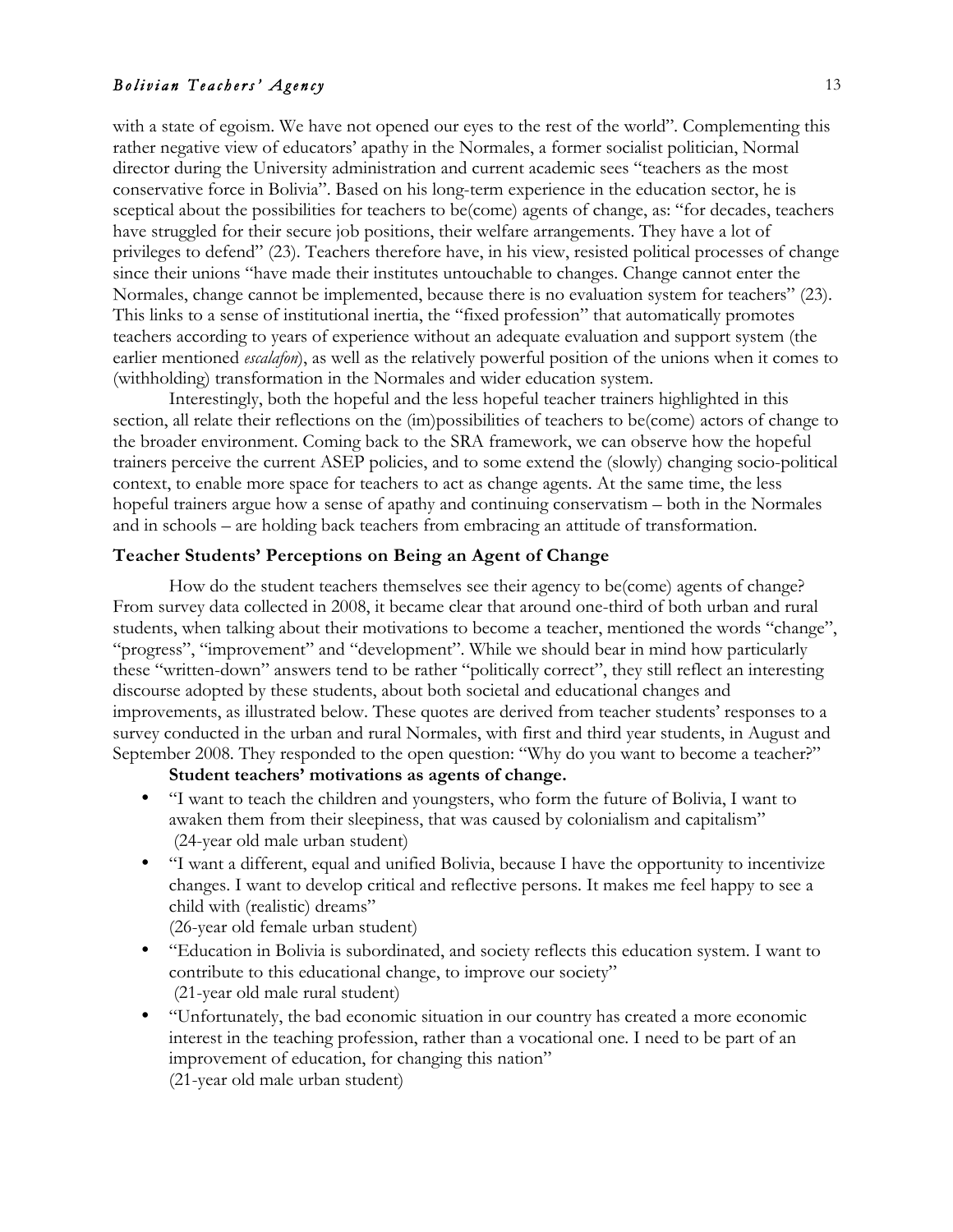with a state of egoism. We have not opened our eyes to the rest of the world"*.* Complementing this rather negative view of educators' apathy in the Normales, a former socialist politician, Normal director during the University administration and current academic sees "teachers as the most conservative force in Bolivia". Based on his long-term experience in the education sector, he is sceptical about the possibilities for teachers to be(come) agents of change, as: "for decades, teachers have struggled for their secure job positions, their welfare arrangements. They have a lot of privileges to defend" (23). Teachers therefore have, in his view, resisted political processes of change since their unions "have made their institutes untouchable to changes. Change cannot enter the Normales, change cannot be implemented, because there is no evaluation system for teachers" (23). This links to a sense of institutional inertia, the "fixed profession" that automatically promotes teachers according to years of experience without an adequate evaluation and support system (the earlier mentioned *escalafon*), as well as the relatively powerful position of the unions when it comes to (withholding) transformation in the Normales and wider education system.

Interestingly, both the hopeful and the less hopeful teacher trainers highlighted in this section, all relate their reflections on the (im)possibilities of teachers to be(come) actors of change to the broader environment. Coming back to the SRA framework, we can observe how the hopeful trainers perceive the current ASEP policies, and to some extend the (slowly) changing socio-political context, to enable more space for teachers to act as change agents. At the same time, the less hopeful trainers argue how a sense of apathy and continuing conservatism – both in the Normales and in schools – are holding back teachers from embracing an attitude of transformation.

## **Teacher Students' Perceptions on Being an Agent of Change**

How do the student teachers themselves see their agency to be(come) agents of change? From survey data collected in 2008, it became clear that around one-third of both urban and rural students, when talking about their motivations to become a teacher, mentioned the words "change", "progress", "improvement" and "development". While we should bear in mind how particularly these "written-down" answers tend to be rather "politically correct", they still reflect an interesting discourse adopted by these students, about both societal and educational changes and improvements, as illustrated below. These quotes are derived from teacher students' responses to a survey conducted in the urban and rural Normales, with first and third year students, in August and September 2008. They responded to the open question: "Why do you want to become a teacher?"

## **Student teachers' motivations as agents of change.**

- "I want to teach the children and youngsters, who form the future of Bolivia, I want to awaken them from their sleepiness, that was caused by colonialism and capitalism" (24-year old male urban student)
- "I want a different, equal and unified Bolivia, because I have the opportunity to incentivize changes. I want to develop critical and reflective persons. It makes me feel happy to see a child with (realistic) dreams" (26-year old female urban student)
- "Education in Bolivia is subordinated, and society reflects this education system. I want to contribute to this educational change, to improve our society" (21-year old male rural student)
- "Unfortunately, the bad economic situation in our country has created a more economic interest in the teaching profession, rather than a vocational one. I need to be part of an improvement of education, for changing this nation" (21-year old male urban student)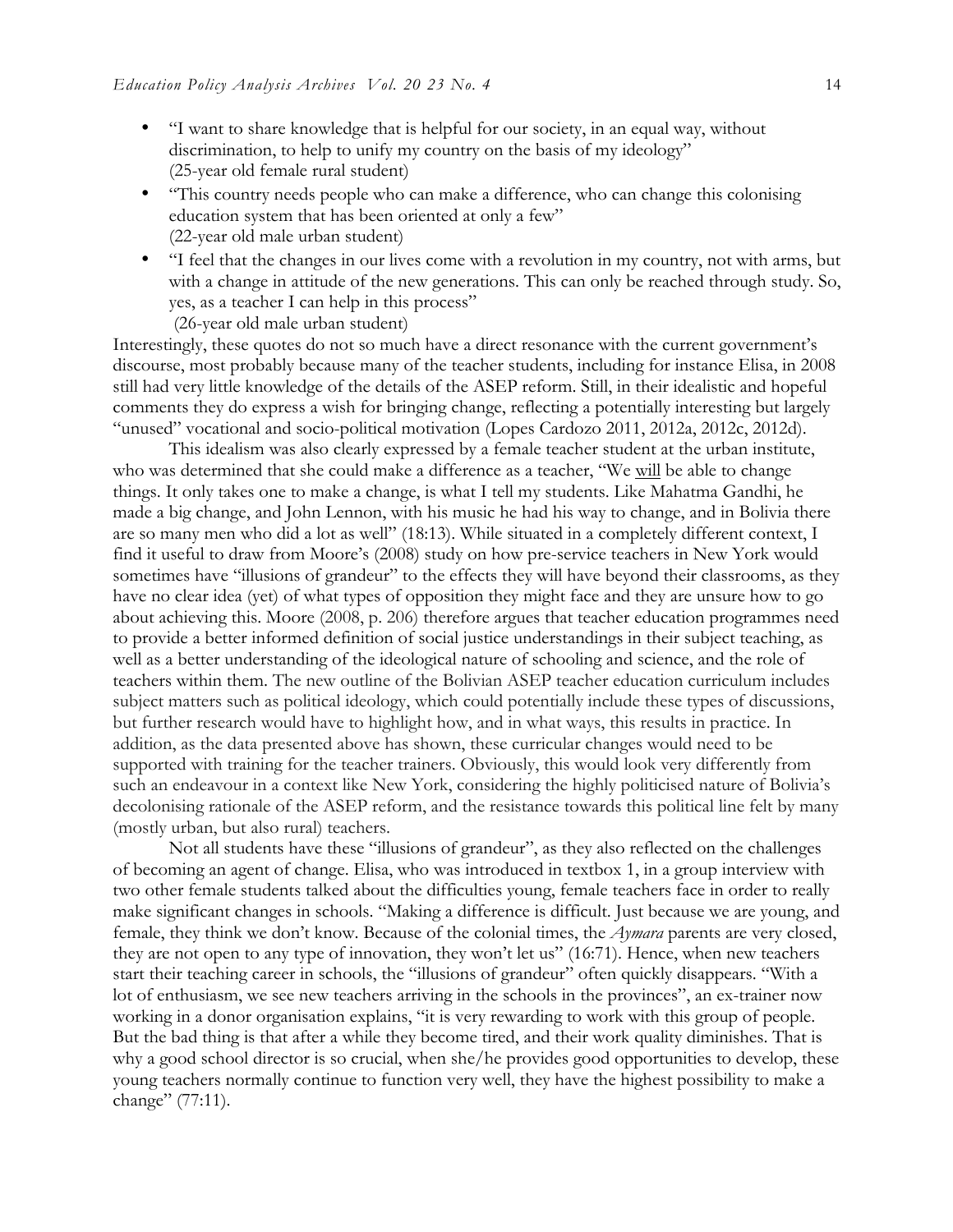- "I want to share knowledge that is helpful for our society, in an equal way, without discrimination, to help to unify my country on the basis of my ideology" (25-year old female rural student)
- "This country needs people who can make a difference, who can change this colonising education system that has been oriented at only a few" (22-year old male urban student)
- "I feel that the changes in our lives come with a revolution in my country, not with arms, but with a change in attitude of the new generations. This can only be reached through study. So, yes, as a teacher I can help in this process"

(26-year old male urban student)

Interestingly, these quotes do not so much have a direct resonance with the current government's discourse, most probably because many of the teacher students, including for instance Elisa, in 2008 still had very little knowledge of the details of the ASEP reform. Still, in their idealistic and hopeful comments they do express a wish for bringing change, reflecting a potentially interesting but largely "unused" vocational and socio-political motivation (Lopes Cardozo 2011, 2012a, 2012c, 2012d).

This idealism was also clearly expressed by a female teacher student at the urban institute, who was determined that she could make a difference as a teacher, "We will be able to change things. It only takes one to make a change, is what I tell my students. Like Mahatma Gandhi, he made a big change, and John Lennon, with his music he had his way to change, and in Bolivia there are so many men who did a lot as well" (18:13). While situated in a completely different context, I find it useful to draw from Moore's (2008) study on how pre-service teachers in New York would sometimes have "illusions of grandeur" to the effects they will have beyond their classrooms, as they have no clear idea (yet) of what types of opposition they might face and they are unsure how to go about achieving this. Moore (2008, p. 206) therefore argues that teacher education programmes need to provide a better informed definition of social justice understandings in their subject teaching, as well as a better understanding of the ideological nature of schooling and science, and the role of teachers within them. The new outline of the Bolivian ASEP teacher education curriculum includes subject matters such as political ideology, which could potentially include these types of discussions, but further research would have to highlight how, and in what ways, this results in practice. In addition, as the data presented above has shown, these curricular changes would need to be supported with training for the teacher trainers. Obviously, this would look very differently from such an endeavour in a context like New York, considering the highly politicised nature of Bolivia's decolonising rationale of the ASEP reform, and the resistance towards this political line felt by many (mostly urban, but also rural) teachers.

Not all students have these "illusions of grandeur", as they also reflected on the challenges of becoming an agent of change. Elisa, who was introduced in textbox 1, in a group interview with two other female students talked about the difficulties young, female teachers face in order to really make significant changes in schools. "Making a difference is difficult. Just because we are young, and female, they think we don't know. Because of the colonial times, the *Aymara* parents are very closed, they are not open to any type of innovation, they won't let us" (16:71). Hence, when new teachers start their teaching career in schools, the "illusions of grandeur" often quickly disappears. "With a lot of enthusiasm, we see new teachers arriving in the schools in the provinces", an ex-trainer now working in a donor organisation explains, "it is very rewarding to work with this group of people. But the bad thing is that after a while they become tired, and their work quality diminishes. That is why a good school director is so crucial, when she/he provides good opportunities to develop, these young teachers normally continue to function very well, they have the highest possibility to make a change" (77:11).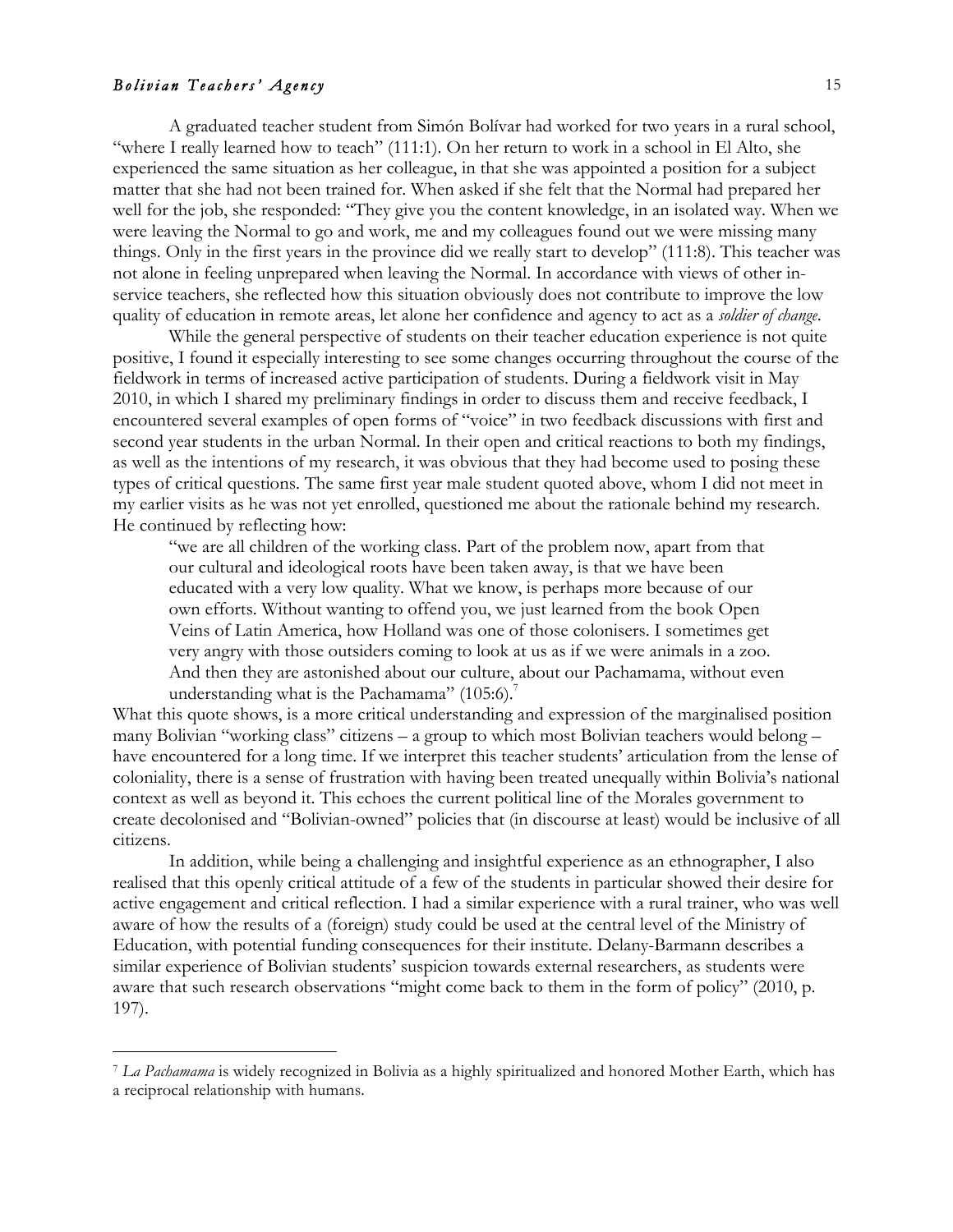A graduated teacher student from Simón Bolívar had worked for two years in a rural school, "where I really learned how to teach" (111:1). On her return to work in a school in El Alto, she experienced the same situation as her colleague, in that she was appointed a position for a subject matter that she had not been trained for. When asked if she felt that the Normal had prepared her well for the job, she responded: "They give you the content knowledge, in an isolated way. When we were leaving the Normal to go and work, me and my colleagues found out we were missing many things. Only in the first years in the province did we really start to develop" (111:8). This teacher was not alone in feeling unprepared when leaving the Normal. In accordance with views of other inservice teachers, she reflected how this situation obviously does not contribute to improve the low quality of education in remote areas, let alone her confidence and agency to act as a *soldier of change*.

While the general perspective of students on their teacher education experience is not quite positive, I found it especially interesting to see some changes occurring throughout the course of the fieldwork in terms of increased active participation of students. During a fieldwork visit in May 2010, in which I shared my preliminary findings in order to discuss them and receive feedback, I encountered several examples of open forms of "voice" in two feedback discussions with first and second year students in the urban Normal. In their open and critical reactions to both my findings, as well as the intentions of my research, it was obvious that they had become used to posing these types of critical questions. The same first year male student quoted above, whom I did not meet in my earlier visits as he was not yet enrolled, questioned me about the rationale behind my research. He continued by reflecting how:

"we are all children of the working class. Part of the problem now, apart from that our cultural and ideological roots have been taken away, is that we have been educated with a very low quality. What we know, is perhaps more because of our own efforts. Without wanting to offend you, we just learned from the book Open Veins of Latin America, how Holland was one of those colonisers. I sometimes get very angry with those outsiders coming to look at us as if we were animals in a zoo. And then they are astonished about our culture, about our Pachamama, without even understanding what is the Pachamama"  $(105:6)$ .<sup>7</sup>

What this quote shows, is a more critical understanding and expression of the marginalised position many Bolivian "working class" citizens – a group to which most Bolivian teachers would belong – have encountered for a long time. If we interpret this teacher students' articulation from the lense of coloniality, there is a sense of frustration with having been treated unequally within Bolivia's national context as well as beyond it. This echoes the current political line of the Morales government to create decolonised and "Bolivian-owned" policies that (in discourse at least) would be inclusive of all citizens.

In addition, while being a challenging and insightful experience as an ethnographer, I also realised that this openly critical attitude of a few of the students in particular showed their desire for active engagement and critical reflection. I had a similar experience with a rural trainer, who was well aware of how the results of a (foreign) study could be used at the central level of the Ministry of Education, with potential funding consequences for their institute. Delany-Barmann describes a similar experience of Bolivian students' suspicion towards external researchers, as students were aware that such research observations "might come back to them in the form of policy" (2010, p. 197).

 <sup>7</sup> *La Pachamama* is widely recognized in Bolivia as a highly spiritualized and honored Mother Earth, which has a reciprocal relationship with humans.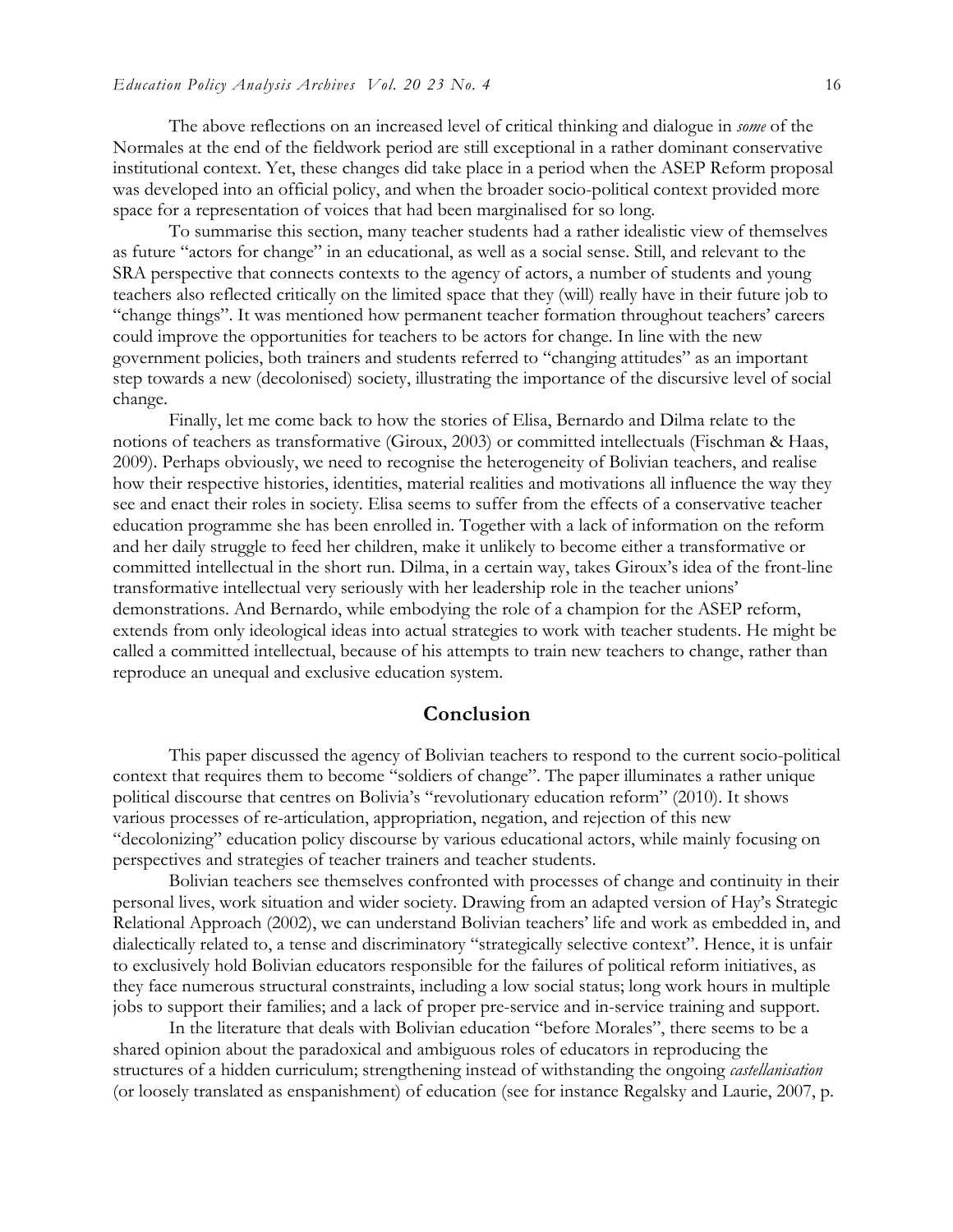The above reflections on an increased level of critical thinking and dialogue in *some* of the Normales at the end of the fieldwork period are still exceptional in a rather dominant conservative institutional context. Yet, these changes did take place in a period when the ASEP Reform proposal was developed into an official policy, and when the broader socio-political context provided more space for a representation of voices that had been marginalised for so long.

To summarise this section, many teacher students had a rather idealistic view of themselves as future "actors for change" in an educational, as well as a social sense. Still, and relevant to the SRA perspective that connects contexts to the agency of actors, a number of students and young teachers also reflected critically on the limited space that they (will) really have in their future job to "change things". It was mentioned how permanent teacher formation throughout teachers' careers could improve the opportunities for teachers to be actors for change. In line with the new government policies, both trainers and students referred to "changing attitudes" as an important step towards a new (decolonised) society, illustrating the importance of the discursive level of social change.

Finally, let me come back to how the stories of Elisa, Bernardo and Dilma relate to the notions of teachers as transformative (Giroux, 2003) or committed intellectuals (Fischman & Haas, 2009). Perhaps obviously, we need to recognise the heterogeneity of Bolivian teachers, and realise how their respective histories, identities, material realities and motivations all influence the way they see and enact their roles in society. Elisa seems to suffer from the effects of a conservative teacher education programme she has been enrolled in. Together with a lack of information on the reform and her daily struggle to feed her children, make it unlikely to become either a transformative or committed intellectual in the short run. Dilma, in a certain way, takes Giroux's idea of the front-line transformative intellectual very seriously with her leadership role in the teacher unions' demonstrations. And Bernardo, while embodying the role of a champion for the ASEP reform, extends from only ideological ideas into actual strategies to work with teacher students. He might be called a committed intellectual, because of his attempts to train new teachers to change, rather than reproduce an unequal and exclusive education system.

#### **Conclusion**

This paper discussed the agency of Bolivian teachers to respond to the current socio-political context that requires them to become "soldiers of change". The paper illuminates a rather unique political discourse that centres on Bolivia's "revolutionary education reform" (2010). It shows various processes of re-articulation, appropriation, negation, and rejection of this new "decolonizing" education policy discourse by various educational actors, while mainly focusing on perspectives and strategies of teacher trainers and teacher students.

Bolivian teachers see themselves confronted with processes of change and continuity in their personal lives, work situation and wider society. Drawing from an adapted version of Hay's Strategic Relational Approach (2002), we can understand Bolivian teachers' life and work as embedded in, and dialectically related to, a tense and discriminatory "strategically selective context". Hence, it is unfair to exclusively hold Bolivian educators responsible for the failures of political reform initiatives, as they face numerous structural constraints, including a low social status; long work hours in multiple jobs to support their families; and a lack of proper pre-service and in-service training and support.

In the literature that deals with Bolivian education "before Morales", there seems to be a shared opinion about the paradoxical and ambiguous roles of educators in reproducing the structures of a hidden curriculum; strengthening instead of withstanding the ongoing *castellanisation* (or loosely translated as enspanishment) of education (see for instance Regalsky and Laurie, 2007, p.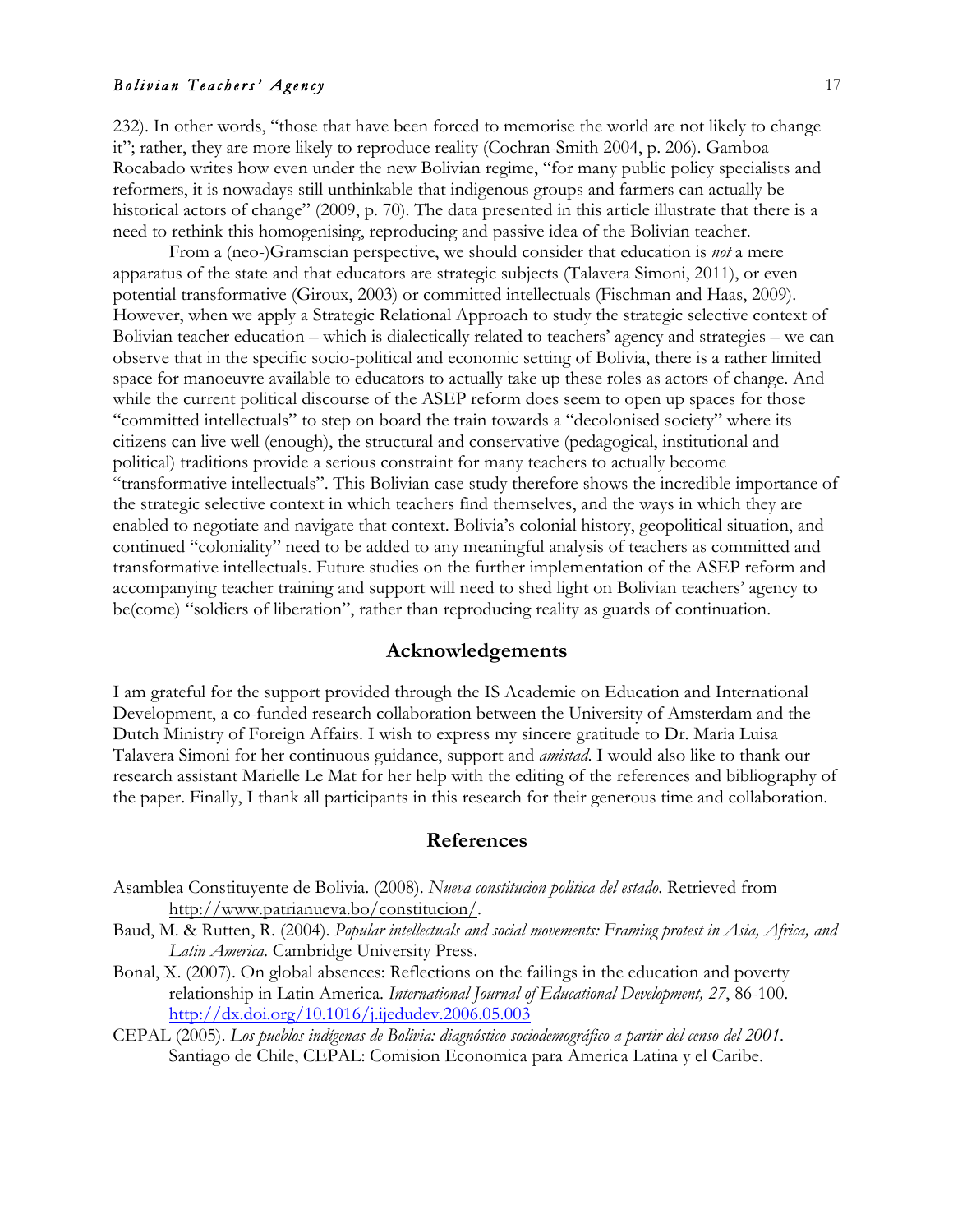232). In other words, "those that have been forced to memorise the world are not likely to change it"; rather, they are more likely to reproduce reality (Cochran-Smith 2004, p. 206). Gamboa Rocabado writes how even under the new Bolivian regime, "for many public policy specialists and reformers, it is nowadays still unthinkable that indigenous groups and farmers can actually be historical actors of change" (2009, p. 70). The data presented in this article illustrate that there is a need to rethink this homogenising, reproducing and passive idea of the Bolivian teacher.

From a (neo-)Gramscian perspective, we should consider that education is *not* a mere apparatus of the state and that educators are strategic subjects (Talavera Simoni, 2011), or even potential transformative (Giroux, 2003) or committed intellectuals (Fischman and Haas, 2009). However, when we apply a Strategic Relational Approach to study the strategic selective context of Bolivian teacher education – which is dialectically related to teachers' agency and strategies – we can observe that in the specific socio-political and economic setting of Bolivia, there is a rather limited space for manoeuvre available to educators to actually take up these roles as actors of change. And while the current political discourse of the ASEP reform does seem to open up spaces for those "committed intellectuals" to step on board the train towards a "decolonised society" where its citizens can live well (enough), the structural and conservative (pedagogical, institutional and political) traditions provide a serious constraint for many teachers to actually become "transformative intellectuals". This Bolivian case study therefore shows the incredible importance of the strategic selective context in which teachers find themselves, and the ways in which they are enabled to negotiate and navigate that context. Bolivia's colonial history, geopolitical situation, and continued "coloniality" need to be added to any meaningful analysis of teachers as committed and transformative intellectuals. Future studies on the further implementation of the ASEP reform and accompanying teacher training and support will need to shed light on Bolivian teachers' agency to be(come) "soldiers of liberation", rather than reproducing reality as guards of continuation.

## **Acknowledgements**

I am grateful for the support provided through the IS Academie on Education and International Development, a co-funded research collaboration between the University of Amsterdam and the Dutch Ministry of Foreign Affairs. I wish to express my sincere gratitude to Dr. Maria Luisa Talavera Simoni for her continuous guidance, support and *amistad*. I would also like to thank our research assistant Marielle Le Mat for her help with the editing of the references and bibliography of the paper. Finally, I thank all participants in this research for their generous time and collaboration.

#### **References**

- Asamblea Constituyente de Bolivia. (2008). *Nueva constitucion politica del estado*. Retrieved from http://www.patrianueva.bo/constitucion/.
- Baud, M. & Rutten, R. (2004). *Popular intellectuals and social movements: Framing protest in Asia, Africa, and Latin America*. Cambridge University Press.
- Bonal, X. (2007). On global absences: Reflections on the failings in the education and poverty relationship in Latin America. *International Journal of Educational Development, 27*, 86-100. http://dx.doi.org/10.1016/j.ijedudev.2006.05.003
- CEPAL (2005). *Los pueblos indígenas de Bolivia: diagnóstico sociodemográfico a partir del censo del 2001*. Santiago de Chile, CEPAL: Comision Economica para America Latina y el Caribe.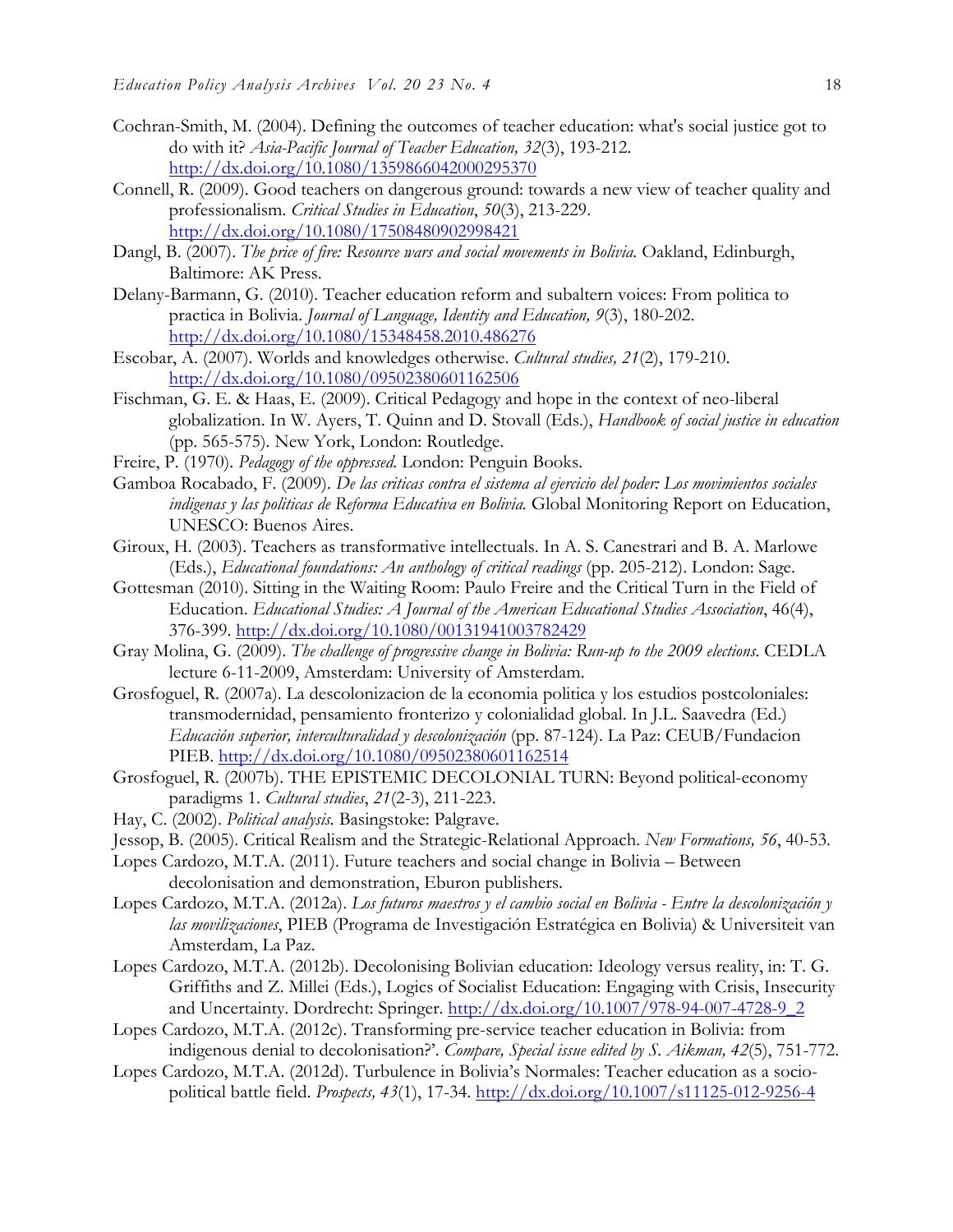- Cochran-Smith, M. (2004). Defining the outcomes of teacher education: what's social justice got to do with it? *Asia-Pacific Journal of Teacher Education, 32*(3), 193-212. http://dx.doi.org/10.1080/1359866042000295370
- Connell, R. (2009). Good teachers on dangerous ground: towards a new view of teacher quality and professionalism. *Critical Studies in Education*, *50*(3), 213-229. http://dx.doi.org/10.1080/17508480902998421
- Dangl, B. (2007). *The price of fire: Resource wars and social movements in Bolivia.* Oakland, Edinburgh, Baltimore: AK Press.
- Delany-Barmann, G. (2010). Teacher education reform and subaltern voices: From politica to practica in Bolivia. *Journal of Language, Identity and Education, 9*(3), 180-202. http://dx.doi.org/10.1080/15348458.2010.486276
- Escobar, A. (2007). Worlds and knowledges otherwise. *Cultural studies, 21*(2), 179-210. http://dx.doi.org/10.1080/09502380601162506
- Fischman, G. E. & Haas, E. (2009). Critical Pedagogy and hope in the context of neo-liberal globalization. In W. Ayers, T. Quinn and D. Stovall (Eds.), *Handbook of social justice in education*  (pp. 565-575)*.* New York, London: Routledge.
- Freire, P. (1970). *Pedagogy of the oppressed.* London: Penguin Books.
- Gamboa Rocabado, F. (2009). *De las criticas contra el sistema al ejercicio del poder: Los movimientos sociales indigenas y las politicas de Reforma Educativa en Bolivia.* Global Monitoring Report on Education, UNESCO: Buenos Aires.
- Giroux, H. (2003). Teachers as transformative intellectuals. In A. S. Canestrari and B. A. Marlowe (Eds.), *Educational foundations: An anthology of critical readings* (pp. 205-212). London: Sage.
- Gottesman (2010). Sitting in the Waiting Room: Paulo Freire and the Critical Turn in the Field of Education. *Educational Studies: A Journal of the American Educational Studies Association*, 46(4), 376-399. http://dx.doi.org/10.1080/00131941003782429
- Gray Molina, G. (2009). *The challenge of progressive change in Bolivia: Run-up to the 2009 elections.* CEDLA lecture 6-11-2009, Amsterdam: University of Amsterdam.
- Grosfoguel, R. (2007a). La descolonizacion de la economia politica y los estudios postcoloniales: transmodernidad, pensamiento fronterizo y colonialidad global. In J.L. Saavedra (Ed.) *Educación superior, interculturalidad y descolonización* (pp. 87-124). La Paz: CEUB/Fundacion PIEB. http://dx.doi.org/10.1080/09502380601162514
- Grosfoguel, R. (2007b). THE EPISTEMIC DECOLONIAL TURN: Beyond political-economy paradigms 1. *Cultural studies*, *21*(2-3), 211-223.
- Hay, C. (2002). *Political analysis.* Basingstoke: Palgrave.
- Jessop, B. (2005). Critical Realism and the Strategic-Relational Approach. *New Formations, 56*, 40-53.
- Lopes Cardozo, M.T.A. (2011). Future teachers and social change in Bolivia Between decolonisation and demonstration, Eburon publishers.
- Lopes Cardozo, M.T.A. (2012a). *Los futuros maestros y el cambio social en Bolivia - Entre la descolonización y las movilizaciones*, PIEB (Programa de Investigación Estratégica en Bolivia) & Universiteit van Amsterdam, La Paz.
- Lopes Cardozo, M.T.A. (2012b). Decolonising Bolivian education: Ideology versus reality, in: T. G. Griffiths and Z. Millei (Eds.), Logics of Socialist Education: Engaging with Crisis, Insecurity and Uncertainty. Dordrecht: Springer. http://dx.doi.org/10.1007/978-94-007-4728-9\_2
- Lopes Cardozo, M.T.A. (2012c). Transforming pre-service teacher education in Bolivia: from indigenous denial to decolonisation?'. *Compare, Special issue edited by S. Aikman, 42*(5), 751-772.
- Lopes Cardozo, M.T.A. (2012d). Turbulence in Bolivia's Normales: Teacher education as a sociopolitical battle field. *Prospects, 43*(1), 17-34. http://dx.doi.org/10.1007/s11125-012-9256-4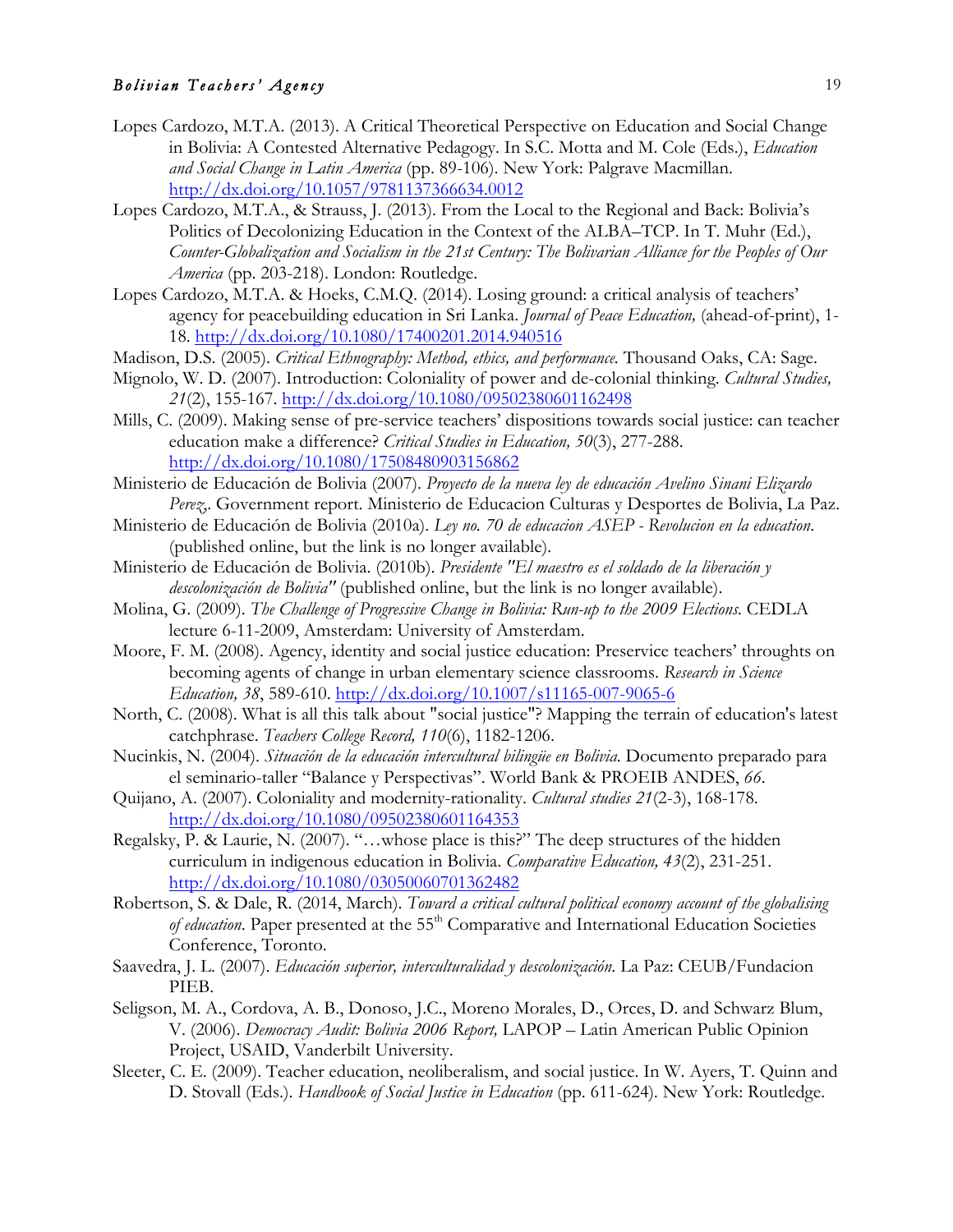- Lopes Cardozo, M.T.A. (2013). A Critical Theoretical Perspective on Education and Social Change in Bolivia: A Contested Alternative Pedagogy. In S.C. Motta and M. Cole (Eds.), *Education and Social Change in Latin America* (pp. 89-106). New York: Palgrave Macmillan. http://dx.doi.org/10.1057/9781137366634.0012
- Lopes Cardozo, M.T.A., & Strauss, J. (2013). From the Local to the Regional and Back: Bolivia's Politics of Decolonizing Education in the Context of the ALBA–TCP. In T. Muhr (Ed.), *Counter-Globalization and Socialism in the 21st Century: The Bolivarian Alliance for the Peoples of Our America* (pp. 203-218). London: Routledge.
- Lopes Cardozo, M.T.A. & Hoeks, C.M.Q. (2014). Losing ground: a critical analysis of teachers' agency for peacebuilding education in Sri Lanka. *Journal of Peace Education,* (ahead-of-print), 1- 18. http://dx.doi.org/10.1080/17400201.2014.940516
- Madison, D.S. (2005). *Critical Ethnography: Method, ethics, and performance.* Thousand Oaks, CA: Sage.
- Mignolo, W. D. (2007). Introduction: Coloniality of power and de-colonial thinking. *Cultural Studies, 21*(2), 155-167. http://dx.doi.org/10.1080/09502380601162498
- Mills, C. (2009). Making sense of pre-service teachers' dispositions towards social justice: can teacher education make a difference? *Critical Studies in Education, 50*(3), 277-288. http://dx.doi.org/10.1080/17508480903156862
- Ministerio de Educación de Bolivia (2007). *Proyecto de la nueva ley de educación Avelino Sinani Elizardo Perez*,. Government report. Ministerio de Educacion Culturas y Desportes de Bolivia, La Paz.
- Ministerio de Educación de Bolivia (2010a). *Ley no. 70 de educacion ASEP - Revolucion en la education*. (published online, but the link is no longer available).
- Ministerio de Educación de Bolivia. (2010b). *Presidente "El maestro es el soldado de la liberación y descolonización de Bolivia"* (published online, but the link is no longer available).
- Molina, G. (2009). *The Challenge of Progressive Change in Bolivia: Run-up to the 2009 Elections.* CEDLA lecture 6-11-2009, Amsterdam: University of Amsterdam.
- Moore, F. M. (2008). Agency, identity and social justice education: Preservice teachers' throughts on becoming agents of change in urban elementary science classrooms. *Research in Science Education, 38*, 589-610. http://dx.doi.org/10.1007/s11165-007-9065-6
- North, C. (2008). What is all this talk about "social justice"? Mapping the terrain of education's latest catchphrase. *Teachers College Record, 110*(6), 1182-1206.
- Nucinkis, N. (2004). *Situación de la educación intercultural bilingüe en Bolivia.* Documento preparado para el seminario-taller "Balance y Perspectivas". World Bank & PROEIB ANDES, *66*.
- Quijano, A. (2007). Coloniality and modernity-rationality. *Cultural studies 21*(2-3), 168-178. http://dx.doi.org/10.1080/09502380601164353
- Regalsky, P. & Laurie, N. (2007). "…whose place is this?" The deep structures of the hidden curriculum in indigenous education in Bolivia. *Comparative Education, 43*(2), 231-251. http://dx.doi.org/10.1080/03050060701362482
- Robertson, S. & Dale, R. (2014, March). *Toward a critical cultural political economy account of the globalising of education*. Paper presented at the 55<sup>th</sup> Comparative and International Education Societies Conference, Toronto.
- Saavedra, J. L. (2007). *Educación superior, interculturalidad y descolonización*. La Paz: CEUB/Fundacion PIEB.
- Seligson, M. A., Cordova, A. B., Donoso, J.C., Moreno Morales, D., Orces, D. and Schwarz Blum, V. (2006). *Democracy Audit: Bolivia 2006 Report,* LAPOP – Latin American Public Opinion Project, USAID, Vanderbilt University.
- Sleeter, C. E. (2009). Teacher education, neoliberalism, and social justice. In W. Ayers, T. Quinn and D. Stovall (Eds.). *Handbook of Social Justice in Education* (pp. 611-624)*.* New York: Routledge.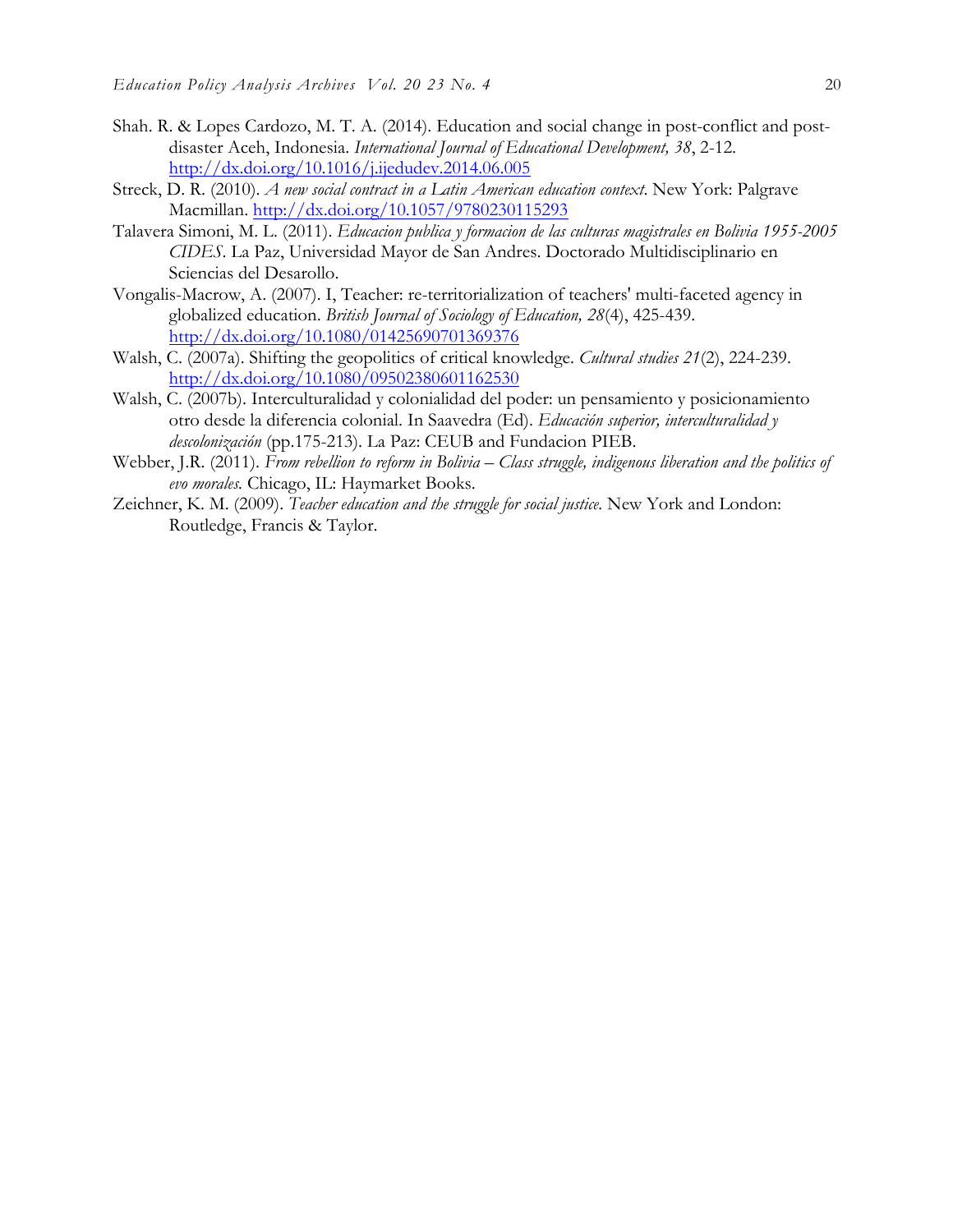- Shah. R. & Lopes Cardozo, M. T. A. (2014). Education and social change in post-conflict and postdisaster Aceh, Indonesia. *International Journal of Educational Development, 38*, 2-12. http://dx.doi.org/10.1016/j.ijedudev.2014.06.005
- Streck, D. R. (2010). *A new social contract in a Latin American education context*. New York: Palgrave Macmillan. http://dx.doi.org/10.1057/9780230115293
- Talavera Simoni, M. L. (2011). *Educacion publica y formacion de las culturas magistrales en Bolivia 1955-2005 CIDES*. La Paz, Universidad Mayor de San Andres. Doctorado Multidisciplinario en Sciencias del Desarollo.
- Vongalis-Macrow, A. (2007). I, Teacher: re-territorialization of teachers' multi-faceted agency in globalized education. *British Journal of Sociology of Education, 28*(4), 425-439. http://dx.doi.org/10.1080/01425690701369376
- Walsh, C. (2007a). Shifting the geopolitics of critical knowledge. *Cultural studies 21*(2), 224-239. http://dx.doi.org/10.1080/09502380601162530
- Walsh, C. (2007b). Interculturalidad y colonialidad del poder: un pensamiento y posicionamiento otro desde la diferencia colonial. In Saavedra (Ed). *Educación superior, interculturalidad y descolonización* (pp.175-213). La Paz: CEUB and Fundacion PIEB.
- Webber, J.R. (2011). *From rebellion to reform in Bolivia – Class struggle, indigenous liberation and the politics of evo morales.* Chicago, IL: Haymarket Books.
- Zeichner, K. M. (2009). *Teacher education and the struggle for social justice.* New York and London: Routledge, Francis & Taylor.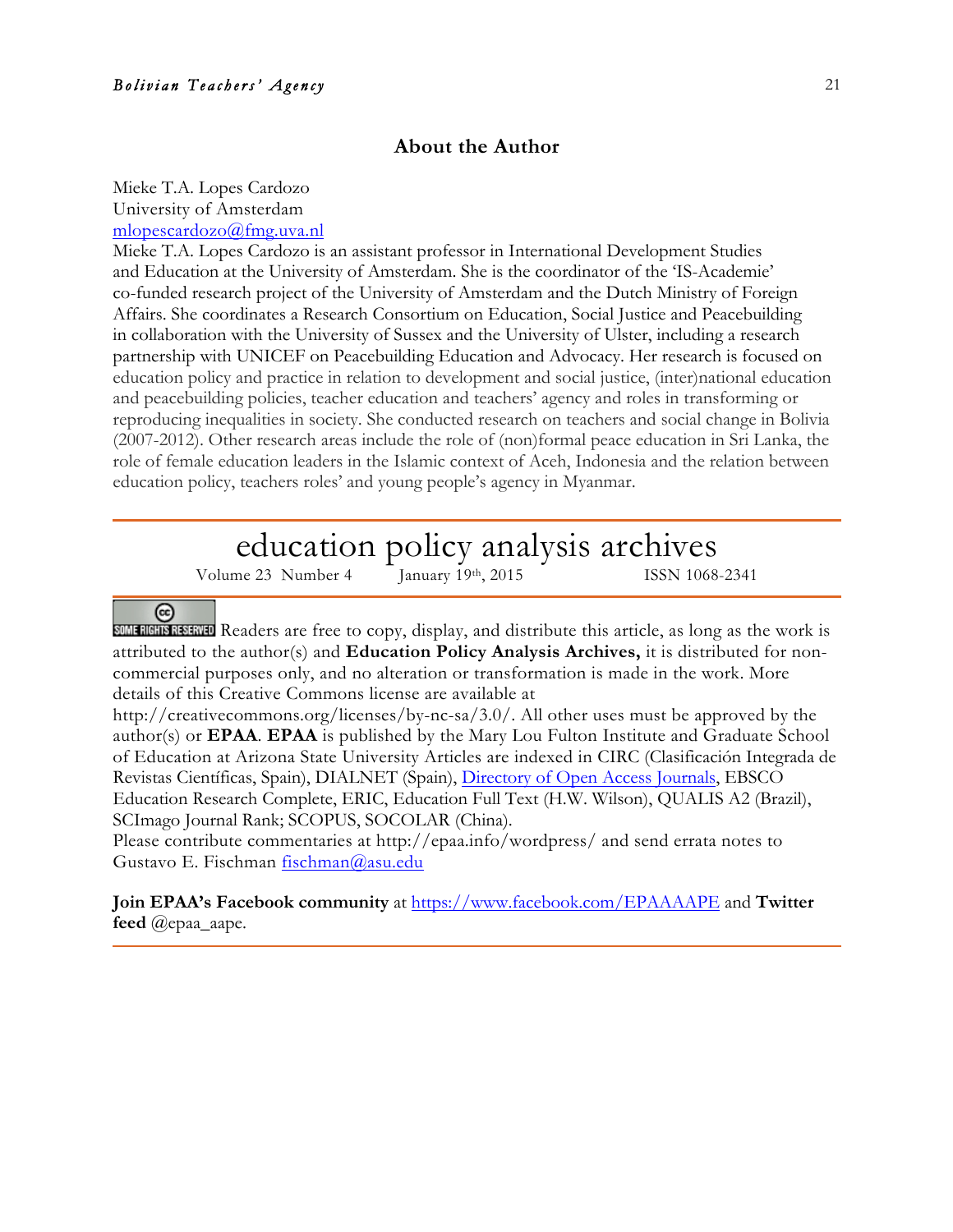## **About the Author**

Mieke T.A. Lopes Cardozo University of Amsterdam

mlopescardozo@fmg.uva.nl

Mieke T.A. Lopes Cardozo is an assistant professor in International Development Studies and Education at the University of Amsterdam. She is the coordinator of the 'IS-Academie' co-funded research project of the University of Amsterdam and the Dutch Ministry of Foreign Affairs. She coordinates a Research Consortium on Education, Social Justice and Peacebuilding in collaboration with the University of Sussex and the University of Ulster, including a research partnership with UNICEF on Peacebuilding Education and Advocacy. Her research is focused on education policy and practice in relation to development and social justice, (inter)national education and peacebuilding policies, teacher education and teachers' agency and roles in transforming or reproducing inequalities in society. She conducted research on teachers and social change in Bolivia (2007-2012). Other research areas include the role of (non)formal peace education in Sri Lanka, the role of female education leaders in the Islamic context of Aceh, Indonesia and the relation between education policy, teachers roles' and young people's agency in Myanmar.

## education policy analysis archives

Volume 23 Number 4 January 19th, 2015 ISSN 1068-2341

## (cc)

SOME RIGHTS RESERVED Readers are free to copy, display, and distribute this article, as long as the work is attributed to the author(s) and **Education Policy Analysis Archives,** it is distributed for noncommercial purposes only, and no alteration or transformation is made in the work. More details of this Creative Commons license are available at

http://creativecommons.org/licenses/by-nc-sa/3.0/. All other uses must be approved by the author(s) or **EPAA**. **EPAA** is published by the Mary Lou Fulton Institute and Graduate School of Education at Arizona State University Articles are indexed in CIRC (Clasificación Integrada de Revistas Científicas, Spain), DIALNET (Spain), Directory of Open Access Journals, EBSCO Education Research Complete, ERIC, Education Full Text (H.W. Wilson), QUALIS A2 (Brazil), SCImago Journal Rank; SCOPUS, SOCOLAR (China).

Please contribute commentaries at http://epaa.info/wordpress/ and send errata notes to Gustavo E. Fischman fischman@asu.edu

**Join EPAA's Facebook community** at https://www.facebook.com/EPAAAAPE and **Twitter feed** @epaa\_aape.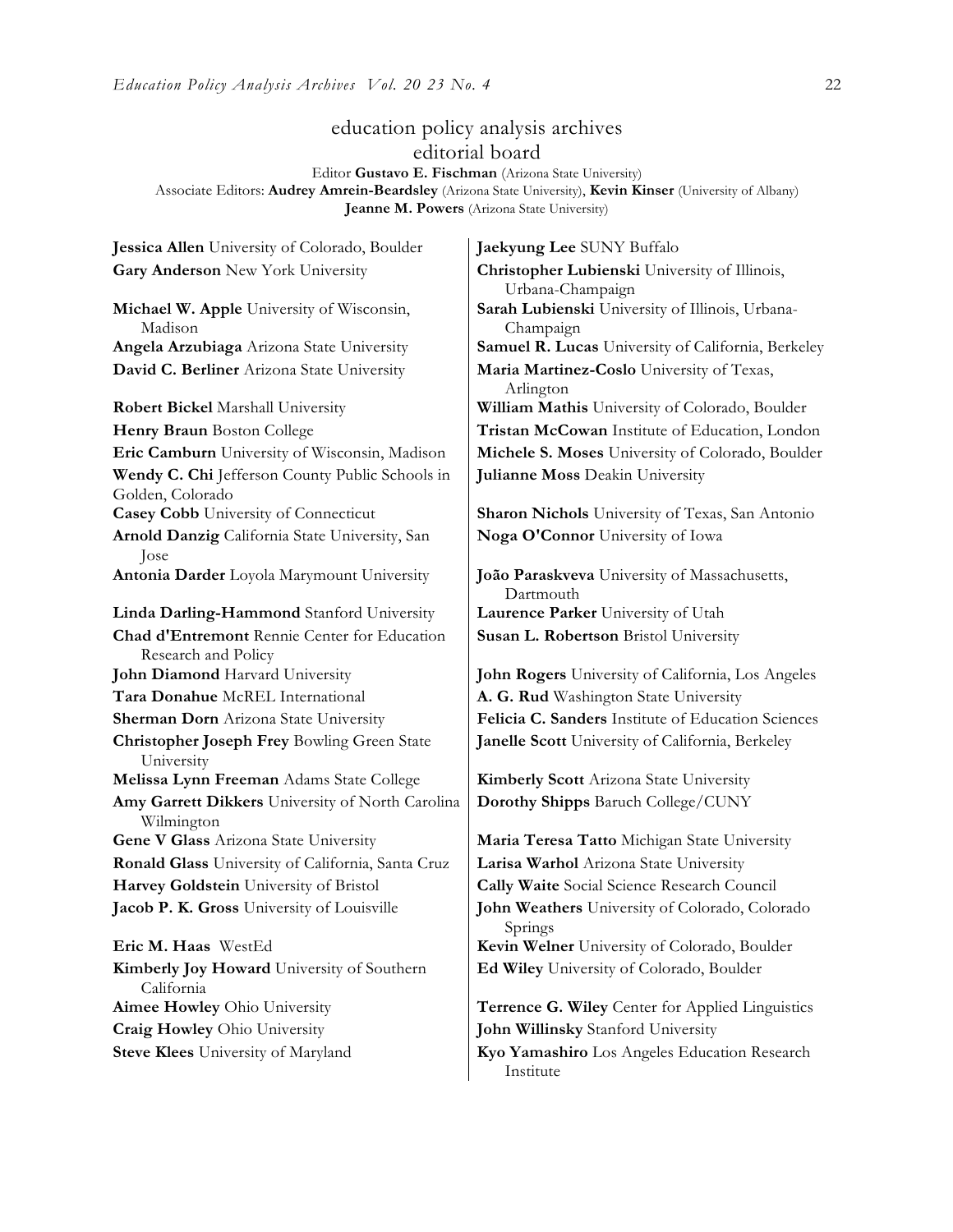## education policy analysis archives editorial board

Editor **Gustavo E. Fischman** (Arizona State University) Associate Editors: **Audrey Amrein-Beardsley** (Arizona State University), **Kevin Kinser** (University of Albany) **Jeanne M. Powers** (Arizona State University)

**Jessica Allen** University of Colorado, Boulder **Jaekyung Lee** SUNY Buffalo

**Michael W. Apple** University of Wisconsin, Madison **David C. Berliner** Arizona State University **Maria Martinez-Coslo** University of Texas, **Robert Bickel Marshall University William Mathis University of Colorado, Boulder Wendy C. Chi** Jefferson County Public Schools in Golden, Colorado **Casey Cobb** University of Connecticut **Sharon Nichols** University of Texas, San Antonio **Arnold Danzig** California State University, San Jose **Antonia Darder** Loyola Marymount University **João Paraskveva** University of Massachusetts, **Linda Darling-Hammond** Stanford University **Laurence Parker** University of Utah **Chad d'Entremont** Rennie Center for Education Research and Policy **John Diamond** Harvard University **John Rogers** University of California, Los Angeles **Tara Donahue** McREL International **A. G. Rud** Washington State University **Christopher Joseph Frey** Bowling Green State University **Melissa Lynn Freeman** Adams State College **Kimberly Scott** Arizona State University **Amy Garrett Dikkers** University of North Carolina Wilmington **Gene V Glass** Arizona State University **Maria Teresa Tatto** Michigan State University **Ronald Glass** University of California, Santa Cruz **Larisa Warhol** Arizona State University **Harvey Goldstein** University of Bristol **Cally Waite** Social Science Research Council **Eric M. Haas** WestEd **Kevin Welner** University of Colorado, Boulder **Kimberly Joy Howard** University of Southern California **Aimee Howley** Ohio University **Terrence G. Wiley** Center for Applied Linguistics **Craig Howley** Ohio University **John Willinsky** Stanford University

**Steve Klees** University of Maryland **Kyo Yamashiro** Los Angeles Education Research

**Gary Anderson** New York University **Christopher Lubienski** University of Illinois, Urbana-Champaign **Sarah Lubienski** University of Illinois, Urbana-Champaign **Angela Arzubiaga** Arizona State University **Samuel R. Lucas** University of California, Berkeley Arlington **Henry Braun** Boston College **Tristan McCowan** Institute of Education, London **Eric Camburn** University of Wisconsin, Madison **Michele S. Moses** University of Colorado, Boulder **Julianne Moss** Deakin University

**Noga O'Connor** University of Iowa

Dartmouth **Susan L. Robertson** Bristol University

**Sherman Dorn** Arizona State University **Felicia C. Sanders** Institute of Education Sciences **Janelle Scott** University of California, Berkeley

**Dorothy Shipps** Baruch College/CUNY

**Jacob P. K. Gross** University of Louisville **John Weathers** University of Colorado, Colorado Springs **Ed Wiley** University of Colorado, Boulder

Institute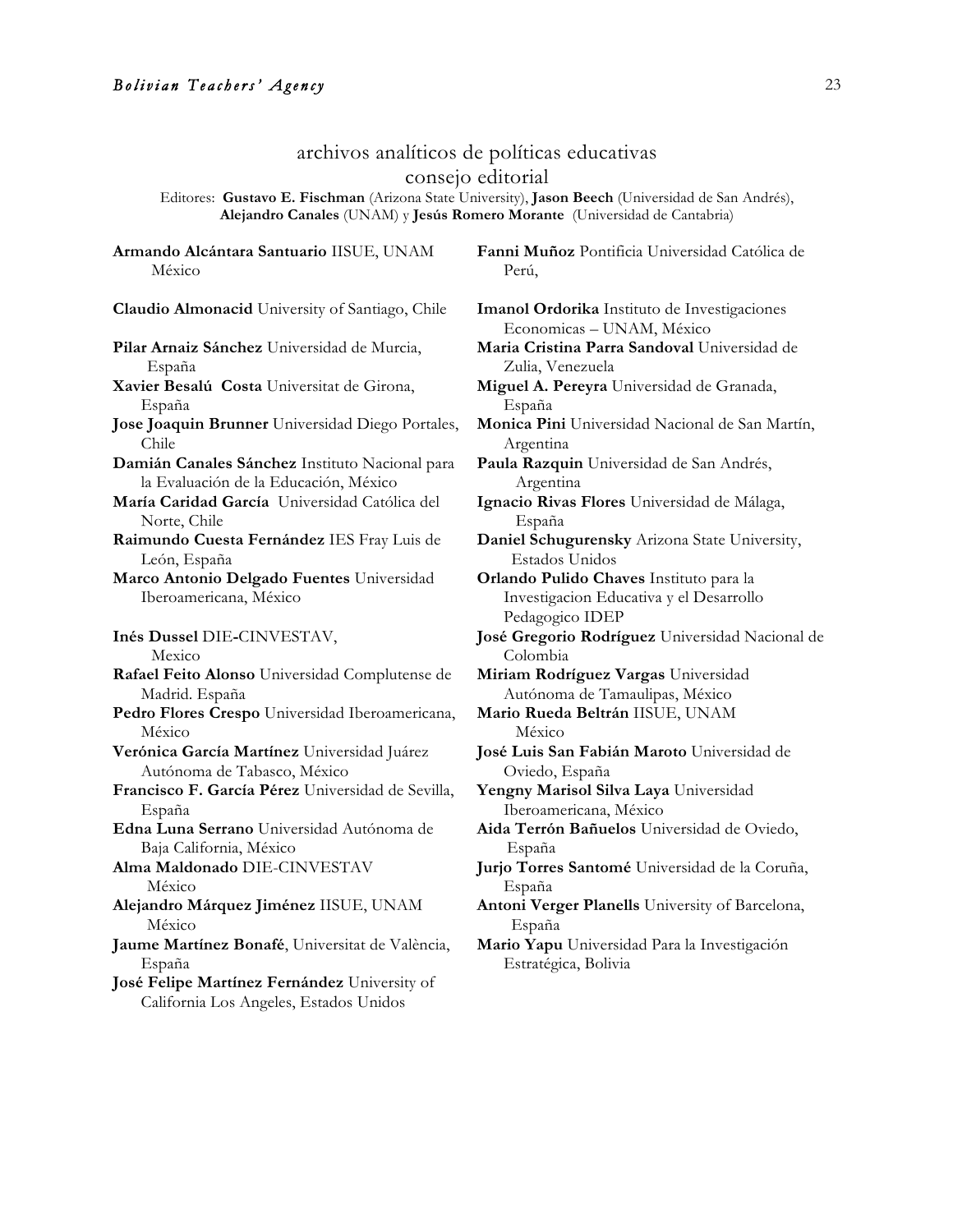## archivos analíticos de políticas educativas consejo editorial

Editores: **Gustavo E. Fischman** (Arizona State University), **Jason Beech** (Universidad de San Andrés), **Alejandro Canales** (UNAM) y **Jesús Romero Morante** (Universidad de Cantabria)

| Armando Alcántara Santuario IISUE, UNAM |  |  |
|-----------------------------------------|--|--|
| México                                  |  |  |

| Claudio Almonacid University of Santiago, Chile           |
|-----------------------------------------------------------|
| Pilar Arnaiz Sánchez Universidad de Murcia,               |
| España                                                    |
| Xavier Besalú Costa Universitat de Girona,                |
| España                                                    |
| Jose Joaquin Brunner Universidad Diego Portales,<br>Chile |
| Damián Canales Sánchez Instituto Nacional para            |
| la Evaluación de la Educación, México                     |
| María Caridad García Universidad Católica del             |
| Norte, Chile                                              |
|                                                           |
| Raimundo Cuesta Fernández IES Fray Luis de                |
| León, España                                              |
| Marco Antonio Delgado Fuentes Universidad                 |
| Iberoamericana, México                                    |
| Inés Dussel DIE-CINVESTAV,                                |
| Mexico                                                    |
| Rafael Feito Alonso Universidad Complutense de            |
| Madrid. España                                            |
| Pedro Flores Crespo Universidad Iberoamericana,           |
| México                                                    |
| Verónica García Martínez Universidad Juárez               |
| Autónoma de Tabasco, México                               |
| Francisco F. García Pérez Universidad de Sevilla,         |
| España                                                    |
| Edna Luna Serrano Universidad Autónoma de                 |
| Baja California, México                                   |
| Alma Maldonado DIE-CINVESTAV                              |
| México                                                    |
| Alejandro Márquez Jiménez IISUE, UNAM                     |
| México                                                    |
| Jaume Martínez Bonafé, Universitat de València,           |
| España                                                    |
| José Felipe Martínez Fernández University of              |
| California Los Angeles, Estados Unidos                    |

**Fanni Muñoz** Pontificia Universidad Católica de Perú,

**Imanol Ordorika** Instituto de Investigaciones Economicas – UNAM, México **Maria Cristina Parra Sandoval** Universidad de Zulia, Venezuela **Miguel A. Pereyra** Universidad de Granada, España **Monica Pini** Universidad Nacional de San Martín, Argentina **Paula Razquin** Universidad de San Andrés, Argentina **Ignacio Rivas Flores** Universidad de Málaga, España **Daniel Schugurensky** Arizona State University, Estados Unidos **Orlando Pulido Chaves** Instituto para la Investigacion Educativa y el Desarrollo Pedagogico IDEP **José Gregorio Rodríguez** Universidad Nacional de Colombia **Miriam Rodríguez Vargas** Universidad Autónoma de Tamaulipas, México **Mario Rueda Beltrán** IISUE, UNAM México **José Luis San Fabián Maroto** Universidad de Oviedo, España **Yengny Marisol Silva Laya** Universidad Iberoamericana, México **Aida Terrón Bañuelos** Universidad de Oviedo, España **Jurjo Torres Santomé** Universidad de la Coruña, España **Antoni Verger Planells** University of Barcelona, España **Mario Yapu** Universidad Para la Investigación Estratégica, Bolivia